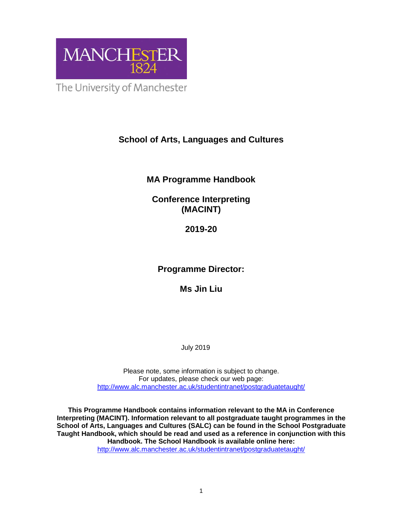

The University of Manchester

# **School of Arts, Languages and Cultures**

# **MA Programme Handbook**

# **Conference Interpreting (MACINT)**

# **2019-20**

# **Programme Director:**

# **Ms Jin Liu**

# July 2019

Please note, some information is subject to change. For updates, please check our web page: http://www.alc.manchester.ac.uk/studentintranet/postgraduatetaught/

**This Programme Handbook contains information relevant to the MA in Conference Interpreting (MACINT). Information relevant to all postgraduate taught programmes in the School of Arts, Languages and Cultures (SALC) can be found in the School Postgraduate Taught Handbook, which should be read and used as a reference in conjunction with this Handbook. The School Handbook is available online here:** 

http://www.alc.manchester.ac.uk/studentintranet/postgraduatetaught/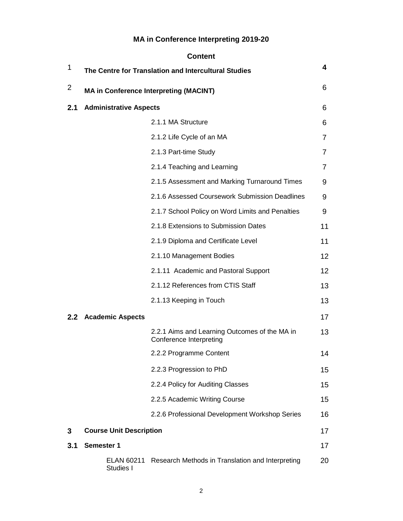# **MA in Conference Interpreting 2019-20**

|     |                                | <b>Content</b>                                                           |    |
|-----|--------------------------------|--------------------------------------------------------------------------|----|
| 1   |                                | The Centre for Translation and Intercultural Studies                     | 4  |
| 2   |                                | <b>MA in Conference Interpreting (MACINT)</b>                            | 6  |
| 2.1 | <b>Administrative Aspects</b>  |                                                                          | 6  |
|     |                                | 2.1.1 MA Structure                                                       | 6  |
|     |                                | 2.1.2 Life Cycle of an MA                                                | 7  |
|     |                                | 2.1.3 Part-time Study                                                    | 7  |
|     |                                | 2.1.4 Teaching and Learning                                              | 7  |
|     |                                | 2.1.5 Assessment and Marking Turnaround Times                            | 9  |
|     |                                | 2.1.6 Assessed Coursework Submission Deadlines                           | 9  |
|     |                                | 2.1.7 School Policy on Word Limits and Penalties                         | 9  |
|     |                                | 2.1.8 Extensions to Submission Dates                                     | 11 |
|     |                                | 2.1.9 Diploma and Certificate Level                                      | 11 |
|     |                                | 2.1.10 Management Bodies                                                 | 12 |
|     |                                | 2.1.11 Academic and Pastoral Support                                     | 12 |
|     |                                | 2.1.12 References from CTIS Staff                                        | 13 |
|     |                                | 2.1.13 Keeping in Touch                                                  | 13 |
|     | 2.2 Academic Aspects           |                                                                          | 17 |
|     |                                | 2.2.1 Aims and Learning Outcomes of the MA in<br>Conference Interpreting | 13 |
|     |                                | 2.2.2 Programme Content                                                  | 14 |
|     |                                | 2.2.3 Progression to PhD                                                 | 15 |
|     |                                | 2.2.4 Policy for Auditing Classes                                        | 15 |
|     |                                | 2.2.5 Academic Writing Course                                            | 15 |
|     |                                | 2.2.6 Professional Development Workshop Series                           | 16 |
| 3   | <b>Course Unit Description</b> |                                                                          | 17 |
| 3.1 | Semester 1                     |                                                                          | 17 |
|     | ELAN 60211<br>Studies I        | Research Methods in Translation and Interpreting                         | 20 |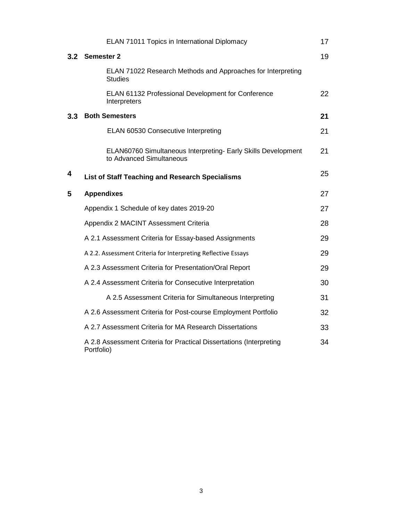|     | ELAN 71011 Topics in International Diplomacy                                              | 17 |
|-----|-------------------------------------------------------------------------------------------|----|
| 3.2 | <b>Semester 2</b>                                                                         | 19 |
|     | ELAN 71022 Research Methods and Approaches for Interpreting<br><b>Studies</b>             |    |
|     | ELAN 61132 Professional Development for Conference<br>Interpreters                        | 22 |
| 3.3 | <b>Both Semesters</b>                                                                     | 21 |
|     | ELAN 60530 Consecutive Interpreting                                                       | 21 |
|     | ELAN60760 Simultaneous Interpreting- Early Skills Development<br>to Advanced Simultaneous | 21 |
| 4   | <b>List of Staff Teaching and Research Specialisms</b>                                    | 25 |
| 5   | <b>Appendixes</b>                                                                         | 27 |
|     | Appendix 1 Schedule of key dates 2019-20                                                  | 27 |
|     | Appendix 2 MACINT Assessment Criteria                                                     | 28 |
|     | A 2.1 Assessment Criteria for Essay-based Assignments                                     | 29 |
|     | A 2.2. Assessment Criteria for Interpreting Reflective Essays                             | 29 |
|     | A 2.3 Assessment Criteria for Presentation/Oral Report                                    | 29 |
|     | A 2.4 Assessment Criteria for Consecutive Interpretation                                  | 30 |
|     | A 2.5 Assessment Criteria for Simultaneous Interpreting                                   | 31 |
|     | A 2.6 Assessment Criteria for Post-course Employment Portfolio                            | 32 |
|     | A 2.7 Assessment Criteria for MA Research Dissertations                                   | 33 |
|     | A 2.8 Assessment Criteria for Practical Dissertations (Interpreting<br>Portfolio)         | 34 |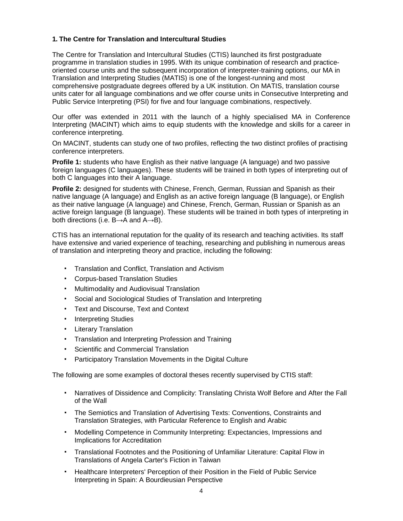### **1. The Centre for Translation and Intercultural Studies**

The Centre for Translation and Intercultural Studies (CTIS) launched its first postgraduate programme in translation studies in 1995. With its unique combination of research and practiceoriented course units and the subsequent incorporation of interpreter-training options, our MA in Translation and Interpreting Studies (MATIS) is one of the longest-running and most comprehensive postgraduate degrees offered by a UK institution. On MATIS, translation course units cater for all language combinations and we offer course units in Consecutive Interpreting and Public Service Interpreting (PSI) for five and four language combinations, respectively.

Our offer was extended in 2011 with the launch of a highly specialised MA in Conference Interpreting (MACINT) which aims to equip students with the knowledge and skills for a career in conference interpreting.

On MACINT, students can study one of two profiles, reflecting the two distinct profiles of practising conference interpreters.

**Profile 1:** students who have English as their native language (A language) and two passive foreign languages (C languages). These students will be trained in both types of interpreting out of both C languages into their A language.

**Profile 2:** designed for students with Chinese, French, German, Russian and Spanish as their native language (A language) and English as an active foreign language (B language), or English as their native language (A language) and Chinese, French, German, Russian or Spanish as an active foreign language (B language). These students will be trained in both types of interpreting in both directions (i.e.  $B\rightarrow A$  and  $A\rightarrow B$ ).

CTIS has an international reputation for the quality of its research and teaching activities. Its staff have extensive and varied experience of teaching, researching and publishing in numerous areas of translation and interpreting theory and practice, including the following:

- Translation and Conflict, Translation and Activism
- **Corpus-based Translation Studies**
- **Multimodality and Audiovisual Translation**
- Social and Sociological Studies of Translation and Interpreting
- Text and Discourse, Text and Context
- Interpreting Studies
- Literary Translation
- Translation and Interpreting Profession and Training
- **Scientific and Commercial Translation**
- Participatory Translation Movements in the Digital Culture

The following are some examples of doctoral theses recently supervised by CTIS staff:

- Narratives of Dissidence and Complicity: Translating Christa Wolf Before and After the Fall of the Wall
- The Semiotics and Translation of Advertising Texts: Conventions, Constraints and Translation Strategies, with Particular Reference to English and Arabic
- Modelling Competence in Community Interpreting: Expectancies, Impressions and Implications for Accreditation
- Translational Footnotes and the Positioning of Unfamiliar Literature: Capital Flow in Translations of Angela Carter's Fiction in Taiwan
- Healthcare Interpreters' Perception of their Position in the Field of Public Service Interpreting in Spain: A Bourdieusian Perspective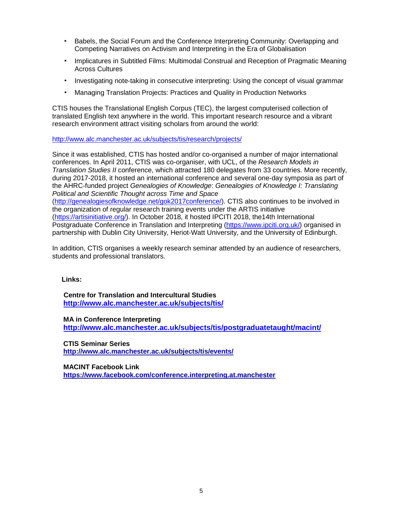- Babels, the Social Forum and the Conference Interpreting Community: Overlapping and Competing Narratives on Activism and Interpreting in the Era of Globalisation
- Implicatures in Subtitled Films: Multimodal Construal and Reception of Pragmatic Meaning Across Cultures
- Investigating note-taking in consecutive interpreting: Using the concept of visual grammar
- **Managing Translation Projects: Practices and Quality in Production Networks**

CTIS houses the Translational English Corpus (TEC), the largest computerised collection of translated English text anywhere in the world. This important research resource and a vibrant research environment attract visiting scholars from around the world:

http://www.alc.manchester.ac.uk/subjects/tis/research/projects/

Since it was established, CTIS has hosted and/or co-organised a number of major international conferences. In April 2011, CTIS was co-organiser, with UCL, of the Research Models in Translation Studies II conference, which attracted 180 delegates from 33 countries. More recently, during 2017-2018, it hosted an international conference and several one-day symposia as part of the AHRC-funded project Genealogies of Knowledge: Genealogies of Knowledge I: Translating Political and Scientific Thought across Time and Space

(http://genealogiesofknowledge.net/gok2017conference/). CTIS also continues to be involved in the organization of regular research training events under the ARTIS initiative (https://artisinitiative.org/). In October 2018, it hosted IPCITI 2018, the14th International Postgraduate Conference in Translation and Interpreting (https://www.ipciti.org.uk/) organised in partnership with Dublin City University, Heriot-Watt University, and the University of Edinburgh.

In addition, CTIS organises a weekly research seminar attended by an audience of researchers, students and professional translators.

#### **Links:**

 **Centre for Translation and Intercultural Studies http://www.alc.manchester.ac.uk/subjects/tis/**

**MA in Conference Interpreting http://www.alc.manchester.ac.uk/subjects/tis/postgraduatetaught/macint/**

**CTIS Seminar Series http://www.alc.manchester.ac.uk/subjects/tis/events/**

**MACINT Facebook Link https://www.facebook.com/conference.interpreting.at.manchester**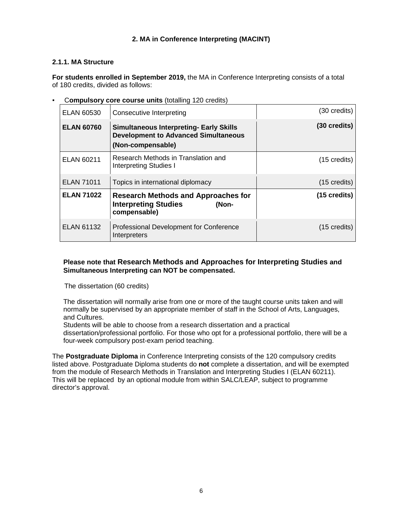### **2. MA in Conference Interpreting (MACINT)**

### **2.1.1. MA Structure**

**For students enrolled in September 2019,** the MA in Conference Interpreting consists of a total of 180 credits, divided as follows:

#### ▪ C**ompulsory core course units** (totalling 120 credits)

| <b>ELAN 60530</b> | Consecutive Interpreting                                                                                           | $(30 \text{ credits})$ |
|-------------------|--------------------------------------------------------------------------------------------------------------------|------------------------|
| <b>ELAN 60760</b> | <b>Simultaneous Interpreting- Early Skills</b><br><b>Development to Advanced Simultaneous</b><br>(Non-compensable) | $(30 \text{ credits})$ |
| <b>ELAN 60211</b> | Research Methods in Translation and<br><b>Interpreting Studies I</b>                                               | $(15 \text{ credits})$ |
| <b>ELAN 71011</b> | Topics in international diplomacy                                                                                  | $(15 \text{ credits})$ |
| <b>ELAN 71022</b> | <b>Research Methods and Approaches for</b><br><b>Interpreting Studies</b><br>(Non-<br>compensable)                 | $(15 \text{ credits})$ |
| <b>ELAN 61132</b> | Professional Development for Conference<br>Interpreters                                                            | $(15 \text{ credits})$ |

### **Please note that Research Methods and Approaches for Interpreting Studies and Simultaneous Interpreting can NOT be compensated.**

The dissertation (60 credits)

The dissertation will normally arise from one or more of the taught course units taken and will normally be supervised by an appropriate member of staff in the School of Arts, Languages, and Cultures.

Students will be able to choose from a research dissertation and a practical

dissertation/professional portfolio. For those who opt for a professional portfolio, there will be a four-week compulsory post-exam period teaching.

The **Postgraduate Diploma** in Conference Interpreting consists of the 120 compulsory credits listed above. Postgraduate Diploma students do **not** complete a dissertation, and will be exempted from the module of Research Methods in Translation and Interpreting Studies I (ELAN 60211). This will be replaced by an optional module from within SALC/LEAP, subject to programme director's approval.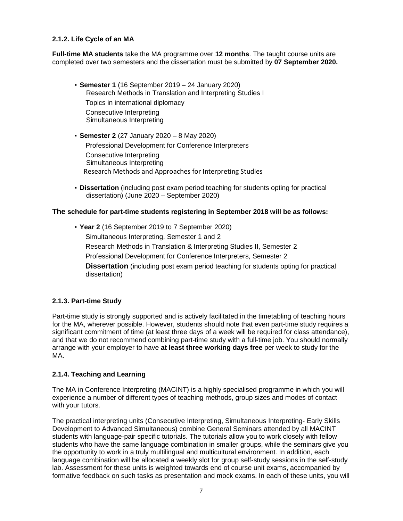### **2.1.2. Life Cycle of an MA**

**Full-time MA students** take the MA programme over **12 months**. The taught course units are completed over two semesters and the dissertation must be submitted by **07 September 2020.**

- **Semester 1** (16 September 2019 24 January 2020) Research Methods in Translation and Interpreting Studies I Topics in international diplomacy Consecutive Interpreting Simultaneous Interpreting
- **Semester 2** (27 January 2020 8 May 2020) Professional Development for Conference Interpreters Consecutive Interpreting Simultaneous Interpreting Research Methods and Approaches for Interpreting Studies
- **Dissertation** (including post exam period teaching for students opting for practical dissertation) (June 2020 – September 2020)

#### **The schedule for part-time students registering in September 2018 will be as follows:**

▪ **Year 2** (16 September 2019 to 7 September 2020) Simultaneous Interpreting, Semester 1 and 2 Research Methods in Translation & Interpreting Studies II, Semester 2 Professional Development for Conference Interpreters, Semester 2 **Dissertation** (including post exam period teaching for students opting for practical dissertation)

### **2.1.3. Part-time Study**

Part-time study is strongly supported and is actively facilitated in the timetabling of teaching hours for the MA, wherever possible. However, students should note that even part-time study requires a significant commitment of time (at least three days of a week will be required for class attendance), and that we do not recommend combining part-time study with a full-time job. You should normally arrange with your employer to have **at least three working days free** per week to study for the MA.

#### **2.1.4. Teaching and Learning**

The MA in Conference Interpreting (MACINT) is a highly specialised programme in which you will experience a number of different types of teaching methods, group sizes and modes of contact with your tutors.

The practical interpreting units (Consecutive Interpreting, Simultaneous Interpreting- Early Skills Development to Advanced Simultaneous) combine General Seminars attended by all MACINT students with language-pair specific tutorials. The tutorials allow you to work closely with fellow students who have the same language combination in smaller groups, while the seminars give you the opportunity to work in a truly multilingual and multicultural environment. In addition, each language combination will be allocated a weekly slot for group self-study sessions in the self-study lab. Assessment for these units is weighted towards end of course unit exams, accompanied by formative feedback on such tasks as presentation and mock exams. In each of these units, you will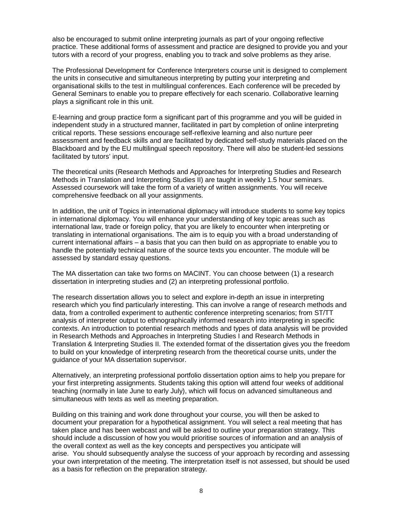also be encouraged to submit online interpreting journals as part of your ongoing reflective practice. These additional forms of assessment and practice are designed to provide you and your tutors with a record of your progress, enabling you to track and solve problems as they arise.

The Professional Development for Conference Interpreters course unit is designed to complement the units in consecutive and simultaneous interpreting by putting your interpreting and organisational skills to the test in multilingual conferences. Each conference will be preceded by General Seminars to enable you to prepare effectively for each scenario. Collaborative learning plays a significant role in this unit.

E-learning and group practice form a significant part of this programme and you will be guided in independent study in a structured manner, facilitated in part by completion of online interpreting critical reports. These sessions encourage self-reflexive learning and also nurture peer assessment and feedback skills and are facilitated by dedicated self-study materials placed on the Blackboard and by the EU multilingual speech repository. There will also be student-led sessions facilitated by tutors' input.

The theoretical units (Research Methods and Approaches for Interpreting Studies and Research Methods in Translation and Interpreting Studies II) are taught in weekly 1.5 hour seminars. Assessed coursework will take the form of a variety of written assignments. You will receive comprehensive feedback on all your assignments.

In addition, the unit of Topics in international diplomacy will introduce students to some key topics in international diplomacy. You will enhance your understanding of key topic areas such as international law, trade or foreign policy, that you are likely to encounter when interpreting or translating in international organisations. The aim is to equip you with a broad understanding of current international affairs – a basis that you can then build on as appropriate to enable you to handle the potentially technical nature of the source texts you encounter. The module will be assessed by standard essay questions.

The MA dissertation can take two forms on MACINT. You can choose between (1) a research dissertation in interpreting studies and (2) an interpreting professional portfolio.

The research dissertation allows you to select and explore in-depth an issue in interpreting research which you find particularly interesting. This can involve a range of research methods and data, from a controlled experiment to authentic conference interpreting scenarios; from ST/TT analysis of interpreter output to ethnographically informed research into interpreting in specific contexts. An introduction to potential research methods and types of data analysis will be provided in Research Methods and Approaches in Interpreting Studies I and Research Methods in Translation & Interpreting Studies II. The extended format of the dissertation gives you the freedom to build on your knowledge of interpreting research from the theoretical course units, under the guidance of your MA dissertation supervisor.

Alternatively, an interpreting professional portfolio dissertation option aims to help you prepare for your first interpreting assignments. Students taking this option will attend four weeks of additional teaching (normally in late June to early July), which will focus on advanced simultaneous and simultaneous with texts as well as meeting preparation.

Building on this training and work done throughout your course, you will then be asked to document your preparation for a hypothetical assignment. You will select a real meeting that has taken place and has been webcast and will be asked to outline your preparation strategy. This should include a discussion of how you would prioritise sources of information and an analysis of the overall context as well as the key concepts and perspectives you anticipate will arise. You should subsequently analyse the success of your approach by recording and assessing your own interpretation of the meeting. The interpretation itself is not assessed, but should be used as a basis for reflection on the preparation strategy.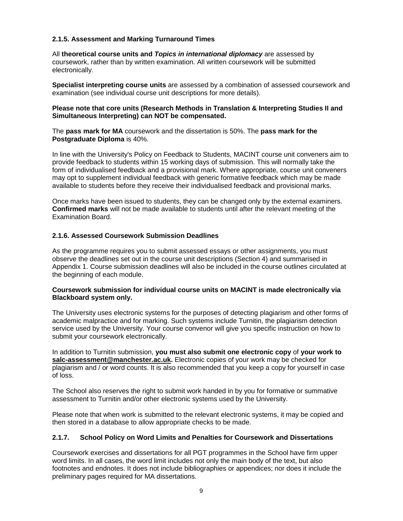### **2.1.5. Assessment and Marking Turnaround Times**

All **theoretical course units and Topics in international diplomacy** are assessed by coursework, rather than by written examination. All written coursework will be submitted electronically.

**Specialist interpreting course units** are assessed by a combination of assessed coursework and examination (see individual course unit descriptions for more details).

#### **Please note that core units (Research Methods in Translation & Interpreting Studies II and Simultaneous Interpreting) can NOT be compensated.**

The **pass mark for MA** coursework and the dissertation is 50%. The **pass mark for the Postgraduate Diploma** is 40%.

In line with the University's Policy on Feedback to Students, MACINT course unit conveners aim to provide feedback to students within 15 working days of submission. This will normally take the form of individualised feedback and a provisional mark. Where appropriate, course unit conveners may opt to supplement individual feedback with generic formative feedback which may be made available to students before they receive their individualised feedback and provisional marks.

Once marks have been issued to students, they can be changed only by the external examiners. **Confirmed marks** will not be made available to students until after the relevant meeting of the Examination Board.

### **2.1.6. Assessed Coursework Submission Deadlines**

As the programme requires you to submit assessed essays or other assignments, you must observe the deadlines set out in the course unit descriptions (Section 4) and summarised in Appendix 1. Course submission deadlines will also be included in the course outlines circulated at the beginning of each module.

#### **Coursework submission for individual course units on MACINT is made electronically via Blackboard system only.**

The University uses electronic systems for the purposes of detecting plagiarism and other forms of academic malpractice and for marking. Such systems include Turnitin, the plagiarism detection service used by the University. Your course convenor will give you specific instruction on how to submit your coursework electronically.

In addition to Turnitin submission, **you must also submit one electronic copy** of **your work to salc-assessment@manchester.ac.uk.** Electronic copies of your work may be checked for plagiarism and / or word counts. It is also recommended that you keep a copy for yourself in case of loss.

The School also reserves the right to submit work handed in by you for formative or summative assessment to Turnitin and/or other electronic systems used by the University.

Please note that when work is submitted to the relevant electronic systems, it may be copied and then stored in a database to allow appropriate checks to be made.

### **2.1.7. School Policy on Word Limits and Penalties for Coursework and Dissertations**

Coursework exercises and dissertations for all PGT programmes in the School have firm upper word limits. In all cases, the word limit includes not only the main body of the text, but also footnotes and endnotes. It does not include bibliographies or appendices; nor does it include the preliminary pages required for MA dissertations.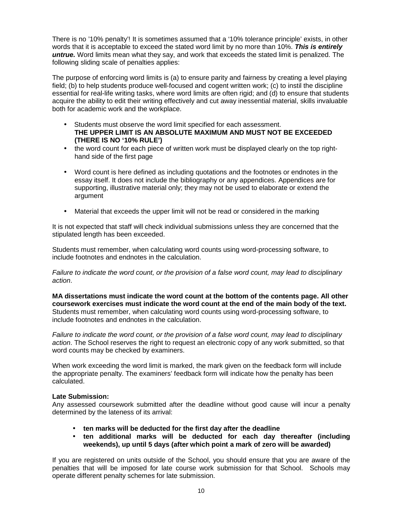There is no '10% penalty'! It is sometimes assumed that a '10% tolerance principle' exists, in other words that it is acceptable to exceed the stated word limit by no more than 10%. **This is entirely untrue.** Word limits mean what they say, and work that exceeds the stated limit is penalized. The following sliding scale of penalties applies:

The purpose of enforcing word limits is (a) to ensure parity and fairness by creating a level playing field; (b) to help students produce well-focused and cogent written work; (c) to instil the discipline essential for real-life writing tasks, where word limits are often rigid; and (d) to ensure that students acquire the ability to edit their writing effectively and cut away inessential material, skills invaluable both for academic work and the workplace.

- Students must observe the word limit specified for each assessment. **THE UPPER LIMIT IS AN ABSOLUTE MAXIMUM AND MUST NOT BE EXCEEDED (THERE IS NO '10% RULE')**
- the word count for each piece of written work must be displayed clearly on the top righthand side of the first page
- Word count is here defined as including quotations and the footnotes or endnotes in the essay itself. It does not include the bibliography or any appendices. Appendices are for supporting, illustrative material only; they may not be used to elaborate or extend the argument
- Material that exceeds the upper limit will not be read or considered in the marking

It is not expected that staff will check individual submissions unless they are concerned that the stipulated length has been exceeded.

Students must remember, when calculating word counts using word-processing software, to include footnotes and endnotes in the calculation.

Failure to indicate the word count, or the provision of a false word count, may lead to disciplinary action.

**MA dissertations must indicate the word count at the bottom of the contents page. All other coursework exercises must indicate the word count at the end of the main body of the text.** Students must remember, when calculating word counts using word-processing software, to include footnotes and endnotes in the calculation.

Failure to indicate the word count, or the provision of a false word count, may lead to disciplinary action. The School reserves the right to request an electronic copy of any work submitted, so that word counts may be checked by examiners.

When work exceeding the word limit is marked, the mark given on the feedback form will include the appropriate penalty. The examiners' feedback form will indicate how the penalty has been calculated.

#### **Late Submission:**

Any assessed coursework submitted after the deadline without good cause will incur a penalty determined by the lateness of its arrival:

- **ten marks will be deducted for the first day after the deadline**
- **ten additional marks will be deducted for each day thereafter (including weekends), up until 5 days (after which point a mark of zero will be awarded)**

If you are registered on units outside of the School, you should ensure that you are aware of the penalties that will be imposed for late course work submission for that School. Schools may operate different penalty schemes for late submission.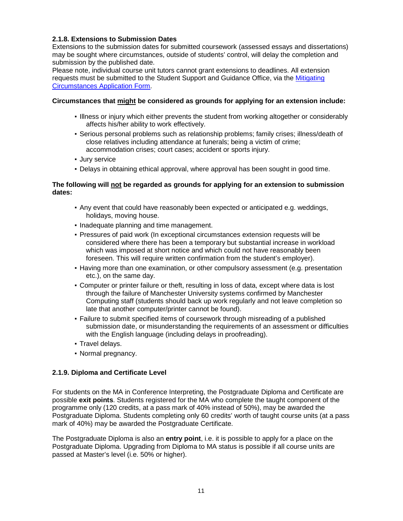### **2.1.8. Extensions to Submission Dates**

Extensions to the submission dates for submitted coursework (assessed essays and dissertations) may be sought where circumstances, outside of students' control, will delay the completion and submission by the published date.

Please note, individual course unit tutors cannot grant extensions to deadlines. All extension requests must be submitted to the Student Support and Guidance Office, via the Mitigating Circumstances Application Form.

### **Circumstances that might be considered as grounds for applying for an extension include:**

- Illness or injury which either prevents the student from working altogether or considerably affects his/her ability to work effectively.
- Serious personal problems such as relationship problems; family crises; illness/death of close relatives including attendance at funerals; being a victim of crime; accommodation crises; court cases; accident or sports injury.
- Jury service
- Delays in obtaining ethical approval, where approval has been sought in good time.

### **The following will not be regarded as grounds for applying for an extension to submission dates:**

- Any event that could have reasonably been expected or anticipated e.g. weddings, holidays, moving house.
- Inadequate planning and time management.
- Pressures of paid work (In exceptional circumstances extension requests will be considered where there has been a temporary but substantial increase in workload which was imposed at short notice and which could not have reasonably been foreseen. This will require written confirmation from the student's employer).
- Having more than one examination, or other compulsory assessment (e.g. presentation etc.), on the same day.
- Computer or printer failure or theft, resulting in loss of data, except where data is lost through the failure of Manchester University systems confirmed by Manchester Computing staff (students should back up work regularly and not leave completion so late that another computer/printer cannot be found).
- Failure to submit specified items of coursework through misreading of a published submission date, or misunderstanding the requirements of an assessment or difficulties with the English language (including delays in proofreading).
- Travel delays.
- Normal pregnancy.

# **2.1.9. Diploma and Certificate Level**

For students on the MA in Conference Interpreting, the Postgraduate Diploma and Certificate are possible **exit points**. Students registered for the MA who complete the taught component of the programme only (120 credits, at a pass mark of 40% instead of 50%), may be awarded the Postgraduate Diploma. Students completing only 60 credits' worth of taught course units (at a pass mark of 40%) may be awarded the Postgraduate Certificate.

The Postgraduate Diploma is also an **entry point**, i.e. it is possible to apply for a place on the Postgraduate Diploma. Upgrading from Diploma to MA status is possible if all course units are passed at Master's level (i.e. 50% or higher).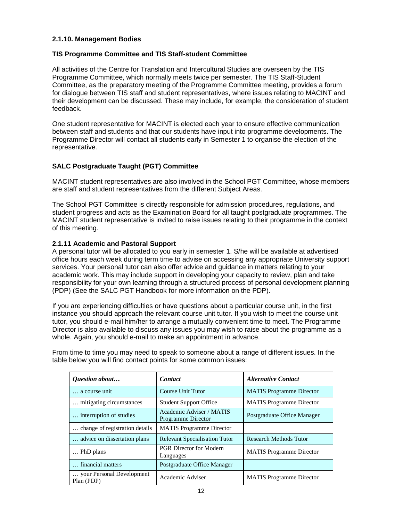### **2.1.10. Management Bodies**

### **TIS Programme Committee and TIS Staff-student Committee**

All activities of the Centre for Translation and Intercultural Studies are overseen by the TIS Programme Committee, which normally meets twice per semester. The TIS Staff-Student Committee, as the preparatory meeting of the Programme Committee meeting, provides a forum for dialogue between TIS staff and student representatives, where issues relating to MACINT and their development can be discussed. These may include, for example, the consideration of student feedback.

One student representative for MACINT is elected each year to ensure effective communication between staff and students and that our students have input into programme developments. The Programme Director will contact all students early in Semester 1 to organise the election of the representative.

### **SALC Postgraduate Taught (PGT) Committee**

MACINT student representatives are also involved in the School PGT Committee, whose members are staff and student representatives from the different Subject Areas.

The School PGT Committee is directly responsible for admission procedures, regulations, and student progress and acts as the Examination Board for all taught postgraduate programmes. The MACINT student representative is invited to raise issues relating to their programme in the context of this meeting.

#### **2.1.11 Academic and Pastoral Support**

A personal tutor will be allocated to you early in semester 1. S/he will be available at advertised office hours each week during term time to advise on accessing any appropriate University support services. Your personal tutor can also offer advice and guidance in matters relating to your academic work. This may include support in developing your capacity to review, plan and take responsibility for your own learning through a structured process of personal development planning (PDP) (See the SALC PGT Handbook for more information on the PDP).

If you are experiencing difficulties or have questions about a particular course unit, in the first instance you should approach the relevant course unit tutor. If you wish to meet the course unit tutor, you should e-mail him/her to arrange a mutually convenient time to meet. The Programme Director is also available to discuss any issues you may wish to raise about the programme as a whole. Again, you should e-mail to make an appointment in advance.

From time to time you may need to speak to someone about a range of different issues. In the table below you will find contact points for some common issues:

| Question about                          | <b>Contact</b>                                        | <b>Alternative Contact</b>      |
|-----------------------------------------|-------------------------------------------------------|---------------------------------|
| a course unit                           | Course Unit Tutor                                     | <b>MATIS</b> Programme Director |
| mitigating circumstances                | <b>Student Support Office</b>                         | <b>MATIS</b> Programme Director |
| interruption of studies                 | Academic Adviser / MATIS<br><b>Programme Director</b> | Postgraduate Office Manager     |
| change of registration details.         | <b>MATIS</b> Programme Director                       |                                 |
| advice on dissertation plans.           | <b>Relevant Specialisation Tutor</b>                  | <b>Research Methods Tutor</b>   |
| PhD plans                               | <b>PGR Director for Modern</b><br>Languages           | <b>MATIS</b> Programme Director |
| financial matters                       | Postgraduate Office Manager                           |                                 |
| your Personal Development<br>Plan (PDP) | Academic Adviser                                      | <b>MATIS</b> Programme Director |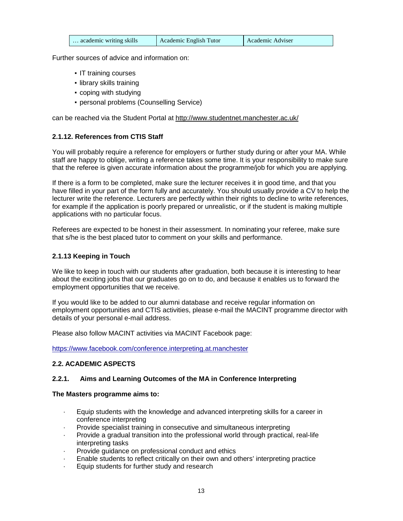| academic writing skills | Academic English Tutor | Academic Adviser |
|-------------------------|------------------------|------------------|
|-------------------------|------------------------|------------------|

Further sources of advice and information on:

- IT training courses
- library skills training
- coping with studying
- **personal problems (Counselling Service)**

can be reached via the Student Portal at http://www.studentnet.manchester.ac.uk/

# **2.1.12. References from CTIS Staff**

You will probably require a reference for employers or further study during or after your MA. While staff are happy to oblige, writing a reference takes some time. It is your responsibility to make sure that the referee is given accurate information about the programme/job for which you are applying.

If there is a form to be completed, make sure the lecturer receives it in good time, and that you have filled in your part of the form fully and accurately. You should usually provide a CV to help the lecturer write the reference. Lecturers are perfectly within their rights to decline to write references, for example if the application is poorly prepared or unrealistic, or if the student is making multiple applications with no particular focus.

Referees are expected to be honest in their assessment. In nominating your referee, make sure that s/he is the best placed tutor to comment on your skills and performance.

### **2.1.13 Keeping in Touch**

We like to keep in touch with our students after graduation, both because it is interesting to hear about the exciting jobs that our graduates go on to do, and because it enables us to forward the employment opportunities that we receive.

If you would like to be added to our alumni database and receive regular information on employment opportunities and CTIS activities, please e-mail the MACINT programme director with details of your personal e-mail address.

Please also follow MACINT activities via MACINT Facebook page:

https://www.facebook.com/conference.interpreting.at.manchester

# **2.2. ACADEMIC ASPECTS**

### **2.2.1. Aims and Learning Outcomes of the MA in Conference Interpreting**

### **The Masters programme aims to:**

- · Equip students with the knowledge and advanced interpreting skills for a career in conference interpreting
- Provide specialist training in consecutive and simultaneous interpreting
- Provide a gradual transition into the professional world through practical, real-life interpreting tasks
- Provide guidance on professional conduct and ethics
- Enable students to reflect critically on their own and others' interpreting practice
- Equip students for further study and research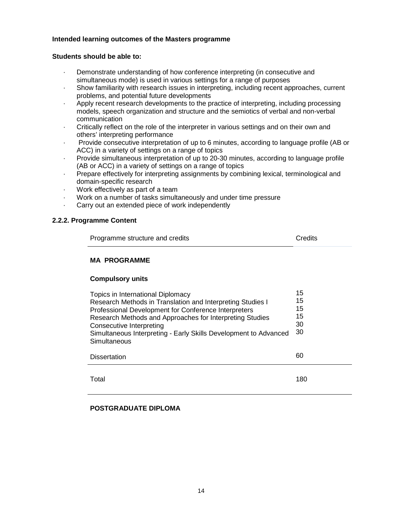#### **Intended learning outcomes of the Masters programme**

### **Students should be able to:**

- Demonstrate understanding of how conference interpreting (in consecutive and simultaneous mode) is used in various settings for a range of purposes
- Show familiarity with research issues in interpreting, including recent approaches, current problems, and potential future developments
- · Apply recent research developments to the practice of interpreting, including processing models, speech organization and structure and the semiotics of verbal and non-verbal communication
- Critically reflect on the role of the interpreter in various settings and on their own and others' interpreting performance
- · Provide consecutive interpretation of up to 6 minutes, according to language profile (AB or ACC) in a variety of settings on a range of topics
- · Provide simultaneous interpretation of up to 20-30 minutes, according to language profile (AB or ACC) in a variety of settings on a range of topics
- · Prepare effectively for interpreting assignments by combining lexical, terminological and domain-specific research
- Work effectively as part of a team
- · Work on a number of tasks simultaneously and under time pressure
- Carry out an extended piece of work independently

### **2.2.2. Programme Content**

| Programme structure and credits | Credits |
|---------------------------------|---------|
|---------------------------------|---------|

# **MA PROGRAMME**

### **Compulsory units**

| Topics in International Diplomacy<br>Research Methods in Translation and Interpreting Studies I<br>Professional Development for Conference Interpreters<br>Research Methods and Approaches for Interpreting Studies<br>Consecutive Interpreting<br>Simultaneous Interpreting - Early Skills Development to Advanced<br>Simultaneous | 15<br>15<br>15<br>15<br>30<br>-30 |
|-------------------------------------------------------------------------------------------------------------------------------------------------------------------------------------------------------------------------------------------------------------------------------------------------------------------------------------|-----------------------------------|
| <b>Dissertation</b>                                                                                                                                                                                                                                                                                                                 | 60                                |
| Total                                                                                                                                                                                                                                                                                                                               | 180                               |

### **POSTGRADUATE DIPLOMA**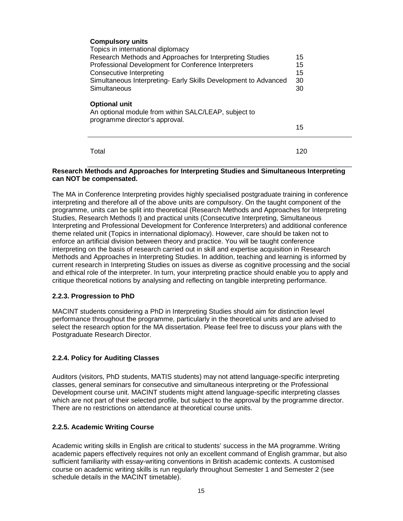| <b>Compulsory units</b>                                                                                        |     |
|----------------------------------------------------------------------------------------------------------------|-----|
| Topics in international diplomacy                                                                              |     |
| Research Methods and Approaches for Interpreting Studies                                                       | 15  |
| Professional Development for Conference Interpreters                                                           | 15  |
| <b>Consecutive Interpreting</b>                                                                                | 15  |
| Simultaneous Interpreting- Early Skills Development to Advanced                                                | 30  |
| Simultaneous                                                                                                   | 30  |
| <b>Optional unit</b><br>An optional module from within SALC/LEAP, subject to<br>programme director's approval. |     |
|                                                                                                                | 15  |
|                                                                                                                |     |
| Total                                                                                                          | 120 |

#### **Research Methods and Approaches for Interpreting Studies and Simultaneous Interpreting can NOT be compensated.**

The MA in Conference Interpreting provides highly specialised postgraduate training in conference interpreting and therefore all of the above units are compulsory. On the taught component of the programme, units can be split into theoretical (Research Methods and Approaches for Interpreting Studies, Research Methods I) and practical units (Consecutive Interpreting, Simultaneous Interpreting and Professional Development for Conference Interpreters) and additional conference theme related unit (Topics in international diplomacy). However, care should be taken not to enforce an artificial division between theory and practice. You will be taught conference interpreting on the basis of research carried out in skill and expertise acquisition in Research Methods and Approaches in Interpreting Studies. In addition, teaching and learning is informed by current research in Interpreting Studies on issues as diverse as cognitive processing and the social and ethical role of the interpreter. In turn, your interpreting practice should enable you to apply and critique theoretical notions by analysing and reflecting on tangible interpreting performance.

### **2.2.3. Progression to PhD**

MACINT students considering a PhD in Interpreting Studies should aim for distinction level performance throughout the programme, particularly in the theoretical units and are advised to select the research option for the MA dissertation. Please feel free to discuss your plans with the Postgraduate Research Director.

### **2.2.4. Policy for Auditing Classes**

Auditors (visitors, PhD students, MATIS students) may not attend language-specific interpreting classes, general seminars for consecutive and simultaneous interpreting or the Professional Development course unit. MACINT students might attend language-specific interpreting classes which are not part of their selected profile, but subject to the approval by the programme director. There are no restrictions on attendance at theoretical course units.

#### **2.2.5. Academic Writing Course**

Academic writing skills in English are critical to students' success in the MA programme. Writing academic papers effectively requires not only an excellent command of English grammar, but also sufficient familiarity with essay-writing conventions in British academic contexts. A customised course on academic writing skills is run regularly throughout Semester 1 and Semester 2 (see schedule details in the MACINT timetable).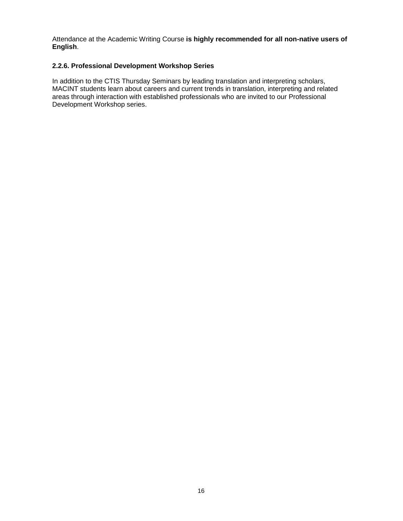Attendance at the Academic Writing Course **is highly recommended for all non-native users of English**.

### **2.2.6. Professional Development Workshop Series**

In addition to the CTIS Thursday Seminars by leading translation and interpreting scholars, MACINT students learn about careers and current trends in translation, interpreting and related areas through interaction with established professionals who are invited to our Professional Development Workshop series.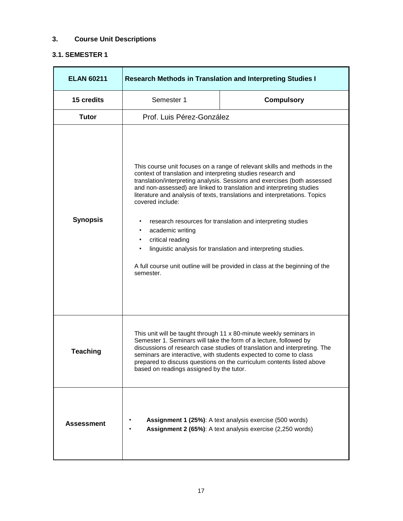# **3. Course Unit Descriptions**

# **3.1. SEMESTER 1**

| <b>ELAN 60211</b> | <b>Research Methods in Translation and Interpreting Studies I</b>                                                                                                                                                                                                                                                                                                                                                                                                                                                                                                                                                                                                         |                                                                                                                        |
|-------------------|---------------------------------------------------------------------------------------------------------------------------------------------------------------------------------------------------------------------------------------------------------------------------------------------------------------------------------------------------------------------------------------------------------------------------------------------------------------------------------------------------------------------------------------------------------------------------------------------------------------------------------------------------------------------------|------------------------------------------------------------------------------------------------------------------------|
| 15 credits        | Semester 1                                                                                                                                                                                                                                                                                                                                                                                                                                                                                                                                                                                                                                                                | <b>Compulsory</b>                                                                                                      |
| <b>Tutor</b>      | Prof. Luis Pérez-González                                                                                                                                                                                                                                                                                                                                                                                                                                                                                                                                                                                                                                                 |                                                                                                                        |
| <b>Synopsis</b>   | This course unit focuses on a range of relevant skills and methods in the<br>context of translation and interpreting studies research and<br>translation/interpreting analysis. Sessions and exercises (both assessed<br>and non-assessed) are linked to translation and interpreting studies<br>literature and analysis of texts, translations and interpretations. Topics<br>covered include:<br>research resources for translation and interpreting studies<br>academic writing<br>critical reading<br>۰<br>linguistic analysis for translation and interpreting studies.<br>A full course unit outline will be provided in class at the beginning of the<br>semester. |                                                                                                                        |
| <b>Teaching</b>   | This unit will be taught through 11 x 80-minute weekly seminars in<br>Semester 1. Seminars will take the form of a lecture, followed by<br>discussions of research case studies of translation and interpreting. The<br>seminars are interactive, with students expected to come to class<br>prepared to discuss questions on the curriculum contents listed above<br>based on readings assigned by the tutor.                                                                                                                                                                                                                                                            |                                                                                                                        |
| <b>Assessment</b> |                                                                                                                                                                                                                                                                                                                                                                                                                                                                                                                                                                                                                                                                           | Assignment 1 (25%): A text analysis exercise (500 words)<br>Assignment 2 (65%): A text analysis exercise (2,250 words) |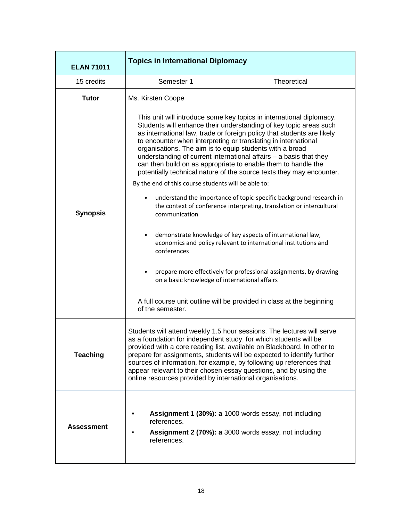| <b>ELAN 71011</b> | <b>Topics in International Diplomacy</b>                                                                                                                                                                                                                                                                                                                                                                                                                                                                                                                                                                                                                                                                                                                                                                                                                                                                                                                                                                                                                                                                                                                                                   |
|-------------------|--------------------------------------------------------------------------------------------------------------------------------------------------------------------------------------------------------------------------------------------------------------------------------------------------------------------------------------------------------------------------------------------------------------------------------------------------------------------------------------------------------------------------------------------------------------------------------------------------------------------------------------------------------------------------------------------------------------------------------------------------------------------------------------------------------------------------------------------------------------------------------------------------------------------------------------------------------------------------------------------------------------------------------------------------------------------------------------------------------------------------------------------------------------------------------------------|
| 15 credits        | Semester 1<br><b>Theoretical</b>                                                                                                                                                                                                                                                                                                                                                                                                                                                                                                                                                                                                                                                                                                                                                                                                                                                                                                                                                                                                                                                                                                                                                           |
| <b>Tutor</b>      | Ms. Kirsten Coope                                                                                                                                                                                                                                                                                                                                                                                                                                                                                                                                                                                                                                                                                                                                                                                                                                                                                                                                                                                                                                                                                                                                                                          |
| <b>Synopsis</b>   | This unit will introduce some key topics in international diplomacy.<br>Students will enhance their understanding of key topic areas such<br>as international law, trade or foreign policy that students are likely<br>to encounter when interpreting or translating in international<br>organisations. The aim is to equip students with a broad<br>understanding of current international affairs $-$ a basis that they<br>can then build on as appropriate to enable them to handle the<br>potentially technical nature of the source texts they may encounter.<br>By the end of this course students will be able to:<br>understand the importance of topic-specific background research in<br>٠<br>the context of conference interpreting, translation or intercultural<br>communication<br>demonstrate knowledge of key aspects of international law,<br>$\bullet$<br>economics and policy relevant to international institutions and<br>conferences<br>prepare more effectively for professional assignments, by drawing<br>$\bullet$<br>on a basic knowledge of international affairs<br>A full course unit outline will be provided in class at the beginning<br>of the semester. |
| <b>Teaching</b>   | Students will attend weekly 1.5 hour sessions. The lectures will serve<br>as a foundation for independent study, for which students will be<br>provided with a core reading list, available on Blackboard. In other to<br>prepare for assignments, students will be expected to identify further<br>sources of information, for example, by following up references that<br>appear relevant to their chosen essay questions, and by using the<br>online resources provided by international organisations.                                                                                                                                                                                                                                                                                                                                                                                                                                                                                                                                                                                                                                                                                 |
| <b>Assessment</b> | Assignment 1 (30%): a 1000 words essay, not including<br>references.<br>Assignment 2 (70%): a 3000 words essay, not including<br>references.                                                                                                                                                                                                                                                                                                                                                                                                                                                                                                                                                                                                                                                                                                                                                                                                                                                                                                                                                                                                                                               |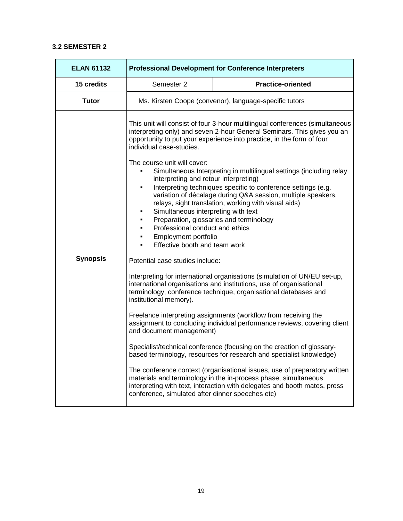### **3.2 SEMESTER 2**

| <b>ELAN 61132</b> | <b>Professional Development for Conference Interpreters</b>                                                                                                                                                                              |                                                                                                                                                                                                                                                                                                                                                                                                                                                                                                                                             |
|-------------------|------------------------------------------------------------------------------------------------------------------------------------------------------------------------------------------------------------------------------------------|---------------------------------------------------------------------------------------------------------------------------------------------------------------------------------------------------------------------------------------------------------------------------------------------------------------------------------------------------------------------------------------------------------------------------------------------------------------------------------------------------------------------------------------------|
| 15 credits        | Semester 2                                                                                                                                                                                                                               | <b>Practice-oriented</b>                                                                                                                                                                                                                                                                                                                                                                                                                                                                                                                    |
| <b>Tutor</b>      |                                                                                                                                                                                                                                          | Ms. Kirsten Coope (convenor), language-specific tutors                                                                                                                                                                                                                                                                                                                                                                                                                                                                                      |
|                   | individual case-studies.<br>The course unit will cover:<br>interpreting and retour interpreting)<br>٠<br>Simultaneous interpreting with text<br>Professional conduct and ethics<br>Employment portfolio<br>Effective booth and team work | This unit will consist of four 3-hour multilingual conferences (simultaneous<br>interpreting only) and seven 2-hour General Seminars. This gives you an<br>opportunity to put your experience into practice, in the form of four<br>Simultaneous Interpreting in multilingual settings (including relay<br>Interpreting techniques specific to conference settings (e.g.<br>variation of décalage during Q&A session, multiple speakers,<br>relays, sight translation, working with visual aids)<br>Preparation, glossaries and terminology |
| <b>Synopsis</b>   | Potential case studies include:                                                                                                                                                                                                          |                                                                                                                                                                                                                                                                                                                                                                                                                                                                                                                                             |
|                   | institutional memory).                                                                                                                                                                                                                   | Interpreting for international organisations (simulation of UN/EU set-up,<br>international organisations and institutions, use of organisational<br>terminology, conference technique, organisational databases and                                                                                                                                                                                                                                                                                                                         |
|                   | Freelance interpreting assignments (workflow from receiving the<br>assignment to concluding individual performance reviews, covering client<br>and document management)                                                                  |                                                                                                                                                                                                                                                                                                                                                                                                                                                                                                                                             |
|                   |                                                                                                                                                                                                                                          | Specialist/technical conference (focusing on the creation of glossary-<br>based terminology, resources for research and specialist knowledge)                                                                                                                                                                                                                                                                                                                                                                                               |
|                   | conference, simulated after dinner speeches etc)                                                                                                                                                                                         | The conference context (organisational issues, use of preparatory written<br>materials and terminology in the in-process phase, simultaneous<br>interpreting with text, interaction with delegates and booth mates, press                                                                                                                                                                                                                                                                                                                   |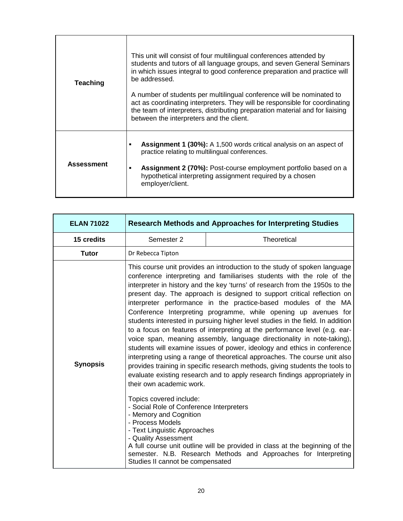| <b>Teaching</b>   | This unit will consist of four multilingual conferences attended by<br>students and tutors of all language groups, and seven General Seminars<br>in which issues integral to good conference preparation and practice will<br>be addressed.<br>A number of students per multilingual conference will be nominated to<br>act as coordinating interpreters. They will be responsible for coordinating<br>the team of interpreters, distributing preparation material and for liaising<br>between the interpreters and the client. |
|-------------------|---------------------------------------------------------------------------------------------------------------------------------------------------------------------------------------------------------------------------------------------------------------------------------------------------------------------------------------------------------------------------------------------------------------------------------------------------------------------------------------------------------------------------------|
| <b>Assessment</b> | <b>Assignment 1 (30%):</b> A 1,500 words critical analysis on an aspect of<br>practice relating to multilingual conferences.<br><b>Assignment 2 (70%):</b> Post-course employment portfolio based on a<br>٠<br>hypothetical interpreting assignment required by a chosen<br>employer/client.                                                                                                                                                                                                                                    |

| <b>ELAN 71022</b> | <b>Research Methods and Approaches for Interpreting Studies</b>                                                                                                                                                                           |                                                                                                                                                                                                                                                                                                                                                                                                                                                                                                                                                                                                                                                                                                                                                                                                                                                                                                                                                                                                                                                                                                                                                                           |  |  |  |
|-------------------|-------------------------------------------------------------------------------------------------------------------------------------------------------------------------------------------------------------------------------------------|---------------------------------------------------------------------------------------------------------------------------------------------------------------------------------------------------------------------------------------------------------------------------------------------------------------------------------------------------------------------------------------------------------------------------------------------------------------------------------------------------------------------------------------------------------------------------------------------------------------------------------------------------------------------------------------------------------------------------------------------------------------------------------------------------------------------------------------------------------------------------------------------------------------------------------------------------------------------------------------------------------------------------------------------------------------------------------------------------------------------------------------------------------------------------|--|--|--|
| 15 credits        | Semester 2                                                                                                                                                                                                                                | Theoretical                                                                                                                                                                                                                                                                                                                                                                                                                                                                                                                                                                                                                                                                                                                                                                                                                                                                                                                                                                                                                                                                                                                                                               |  |  |  |
| <b>Tutor</b>      | Dr Rebecca Tipton                                                                                                                                                                                                                         |                                                                                                                                                                                                                                                                                                                                                                                                                                                                                                                                                                                                                                                                                                                                                                                                                                                                                                                                                                                                                                                                                                                                                                           |  |  |  |
| <b>Synopsis</b>   | their own academic work.<br>Topics covered include:<br>- Social Role of Conference Interpreters<br>- Memory and Cognition<br>- Process Models<br>- Text Linguistic Approaches<br>- Quality Assessment<br>Studies II cannot be compensated | This course unit provides an introduction to the study of spoken language<br>conference interpreting and familiarises students with the role of the<br>interpreter in history and the key 'turns' of research from the 1950s to the<br>present day. The approach is designed to support critical reflection on<br>interpreter performance in the practice-based modules of the MA<br>Conference Interpreting programme, while opening up avenues for<br>students interested in pursuing higher level studies in the field. In addition<br>to a focus on features of interpreting at the performance level (e.g. ear-<br>voice span, meaning assembly, language directionality in note-taking),<br>students will examine issues of power, ideology and ethics in conference<br>interpreting using a range of theoretical approaches. The course unit also<br>provides training in specific research methods, giving students the tools to<br>evaluate existing research and to apply research findings appropriately in<br>A full course unit outline will be provided in class at the beginning of the<br>semester. N.B. Research Methods and Approaches for Interpreting |  |  |  |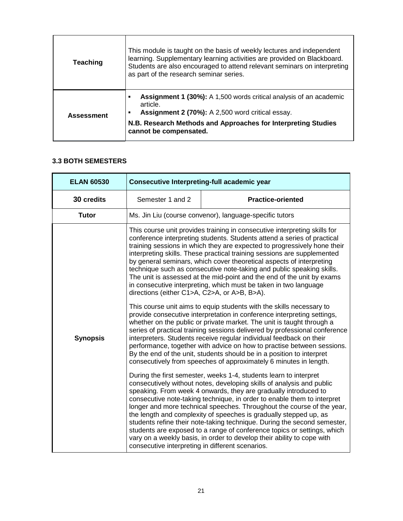| <b>Teaching</b>   | This module is taught on the basis of weekly lectures and independent<br>learning. Supplementary learning activities are provided on Blackboard.<br>Students are also encouraged to attend relevant seminars on interpreting<br>as part of the research seminar series. |
|-------------------|-------------------------------------------------------------------------------------------------------------------------------------------------------------------------------------------------------------------------------------------------------------------------|
| <b>Assessment</b> | <b>Assignment 1 (30%):</b> A 1,500 words critical analysis of an academic<br>п<br>article.<br>Assignment 2 (70%): A 2,500 word critical essay.<br>$\blacksquare$<br>N.B. Research Methods and Approaches for Interpreting Studies<br>cannot be compensated.             |

### **3.3 BOTH SEMESTERS**

| <b>ELAN 60530</b> | <b>Consecutive Interpreting-full academic year</b>                                                                                                                                                                                                                                                                                                                                                                                                                                                                                                                                                                                                                                                                                                                                                                                                                                                                                                                                                                                                                                                                                                                                                                                                                                                                                                                                                                                                                                                                                                                                                                                                                                                                                                                                                                                                                    |                                                         |  |  |  |
|-------------------|-----------------------------------------------------------------------------------------------------------------------------------------------------------------------------------------------------------------------------------------------------------------------------------------------------------------------------------------------------------------------------------------------------------------------------------------------------------------------------------------------------------------------------------------------------------------------------------------------------------------------------------------------------------------------------------------------------------------------------------------------------------------------------------------------------------------------------------------------------------------------------------------------------------------------------------------------------------------------------------------------------------------------------------------------------------------------------------------------------------------------------------------------------------------------------------------------------------------------------------------------------------------------------------------------------------------------------------------------------------------------------------------------------------------------------------------------------------------------------------------------------------------------------------------------------------------------------------------------------------------------------------------------------------------------------------------------------------------------------------------------------------------------------------------------------------------------------------------------------------------------|---------------------------------------------------------|--|--|--|
| 30 credits        | Semester 1 and 2                                                                                                                                                                                                                                                                                                                                                                                                                                                                                                                                                                                                                                                                                                                                                                                                                                                                                                                                                                                                                                                                                                                                                                                                                                                                                                                                                                                                                                                                                                                                                                                                                                                                                                                                                                                                                                                      | <b>Practice-oriented</b>                                |  |  |  |
| <b>Tutor</b>      |                                                                                                                                                                                                                                                                                                                                                                                                                                                                                                                                                                                                                                                                                                                                                                                                                                                                                                                                                                                                                                                                                                                                                                                                                                                                                                                                                                                                                                                                                                                                                                                                                                                                                                                                                                                                                                                                       | Ms. Jin Liu (course convenor), language-specific tutors |  |  |  |
| <b>Synopsis</b>   | This course unit provides training in consecutive interpreting skills for<br>conference interpreting students. Students attend a series of practical<br>training sessions in which they are expected to progressively hone their<br>interpreting skills. These practical training sessions are supplemented<br>by general seminars, which cover theoretical aspects of interpreting<br>technique such as consecutive note-taking and public speaking skills.<br>The unit is assessed at the mid-point and the end of the unit by exams<br>in consecutive interpreting, which must be taken in two language<br>directions (either C1>A, C2>A, or A>B, B>A).<br>This course unit aims to equip students with the skills necessary to<br>provide consecutive interpretation in conference interpreting settings,<br>whether on the public or private market. The unit is taught through a<br>series of practical training sessions delivered by professional conference<br>interpreters. Students receive regular individual feedback on their<br>performance, together with advice on how to practise between sessions.<br>By the end of the unit, students should be in a position to interpret<br>consecutively from speeches of approximately 6 minutes in length.<br>During the first semester, weeks 1-4, students learn to interpret<br>consecutively without notes, developing skills of analysis and public<br>speaking. From week 4 onwards, they are gradually introduced to<br>consecutive note-taking technique, in order to enable them to interpret<br>longer and more technical speeches. Throughout the course of the year,<br>the length and complexity of speeches is gradually stepped up, as<br>students refine their note-taking technique. During the second semester,<br>students are exposed to a range of conference topics or settings, which |                                                         |  |  |  |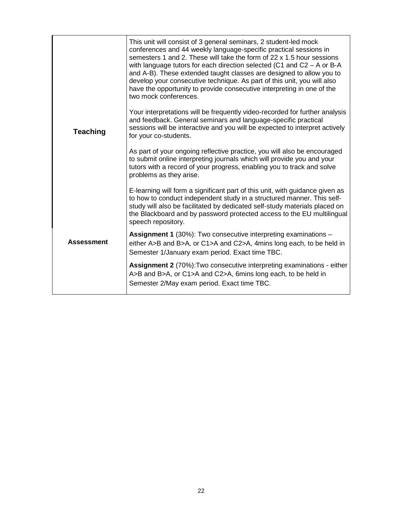|                   | This unit will consist of 3 general seminars, 2 student-led mock<br>conferences and 44 weekly language-specific practical sessions in<br>semesters 1 and 2. These will take the form of 22 x 1.5 hour sessions<br>with language tutors for each direction selected (C1 and $C2 - A$ or B-A<br>and A-B). These extended taught classes are designed to allow you to<br>develop your consecutive technique. As part of this unit, you will also<br>have the opportunity to provide consecutive interpreting in one of the<br>two mock conferences. |
|-------------------|--------------------------------------------------------------------------------------------------------------------------------------------------------------------------------------------------------------------------------------------------------------------------------------------------------------------------------------------------------------------------------------------------------------------------------------------------------------------------------------------------------------------------------------------------|
| <b>Teaching</b>   | Your interpretations will be frequently video-recorded for further analysis<br>and feedback. General seminars and language-specific practical<br>sessions will be interactive and you will be expected to interpret actively<br>for your co-students.                                                                                                                                                                                                                                                                                            |
|                   | As part of your ongoing reflective practice, you will also be encouraged<br>to submit online interpreting journals which will provide you and your<br>tutors with a record of your progress, enabling you to track and solve<br>problems as they arise.                                                                                                                                                                                                                                                                                          |
|                   | E-learning will form a significant part of this unit, with guidance given as<br>to how to conduct independent study in a structured manner. This self-<br>study will also be facilitated by dedicated self-study materials placed on<br>the Blackboard and by password protected access to the EU multilingual<br>speech repository.                                                                                                                                                                                                             |
| <b>Assessment</b> | Assignment 1 (30%): Two consecutive interpreting examinations -<br>either A>B and B>A, or C1>A and C2>A, 4mins long each, to be held in<br>Semester 1/January exam period. Exact time TBC.                                                                                                                                                                                                                                                                                                                                                       |
|                   | Assignment 2 (70%): Two consecutive interpreting examinations - either<br>A>B and B>A, or C1>A and C2>A, 6mins long each, to be held in<br>Semester 2/May exam period. Exact time TBC.                                                                                                                                                                                                                                                                                                                                                           |
|                   |                                                                                                                                                                                                                                                                                                                                                                                                                                                                                                                                                  |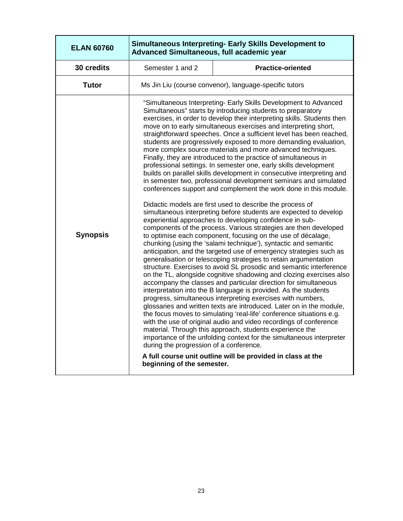| <b>ELAN 60760</b> | Simultaneous Interpreting- Early Skills Development to<br>Advanced Simultaneous, full academic year |                                                                                                                                                                                                                                                                                                                                                                                                                                                                                                                                                                                                                                                                                                                                                                                                                                                                                                                                                                                                                                                                                                                                                                                                                                                                                                                                                                                                                                                                                                                                                                                                                                                                                                                                                                                                                                                                                                                                                                                                                                                                                                                                                                           |  |  |  |
|-------------------|-----------------------------------------------------------------------------------------------------|---------------------------------------------------------------------------------------------------------------------------------------------------------------------------------------------------------------------------------------------------------------------------------------------------------------------------------------------------------------------------------------------------------------------------------------------------------------------------------------------------------------------------------------------------------------------------------------------------------------------------------------------------------------------------------------------------------------------------------------------------------------------------------------------------------------------------------------------------------------------------------------------------------------------------------------------------------------------------------------------------------------------------------------------------------------------------------------------------------------------------------------------------------------------------------------------------------------------------------------------------------------------------------------------------------------------------------------------------------------------------------------------------------------------------------------------------------------------------------------------------------------------------------------------------------------------------------------------------------------------------------------------------------------------------------------------------------------------------------------------------------------------------------------------------------------------------------------------------------------------------------------------------------------------------------------------------------------------------------------------------------------------------------------------------------------------------------------------------------------------------------------------------------------------------|--|--|--|
| 30 credits        | Semester 1 and 2                                                                                    | <b>Practice-oriented</b>                                                                                                                                                                                                                                                                                                                                                                                                                                                                                                                                                                                                                                                                                                                                                                                                                                                                                                                                                                                                                                                                                                                                                                                                                                                                                                                                                                                                                                                                                                                                                                                                                                                                                                                                                                                                                                                                                                                                                                                                                                                                                                                                                  |  |  |  |
| <b>Tutor</b>      | Ms Jin Liu (course convenor), language-specific tutors                                              |                                                                                                                                                                                                                                                                                                                                                                                                                                                                                                                                                                                                                                                                                                                                                                                                                                                                                                                                                                                                                                                                                                                                                                                                                                                                                                                                                                                                                                                                                                                                                                                                                                                                                                                                                                                                                                                                                                                                                                                                                                                                                                                                                                           |  |  |  |
| <b>Synopsis</b>   | during the progression of a conference.<br>beginning of the semester.                               | "Simultaneous Interpreting- Early Skills Development to Advanced<br>Simultaneous" starts by introducing students to preparatory<br>exercises, in order to develop their interpreting skills. Students then<br>move on to early simultaneous exercises and interpreting short,<br>straightforward speeches. Once a sufficient level has been reached,<br>students are progressively exposed to more demanding evaluation,<br>more complex source materials and more advanced techniques.<br>Finally, they are introduced to the practice of simultaneous in<br>professional settings. In semester one, early skills development<br>builds on parallel skills development in consecutive interpreting and<br>in semester two, professional development seminars and simulated<br>conferences support and complement the work done in this module.<br>Didactic models are first used to describe the process of<br>simultaneous interpreting before students are expected to develop<br>experiential approaches to developing confidence in sub-<br>components of the process. Various strategies are then developed<br>to optimise each component, focusing on the use of décalage,<br>chunking (using the 'salami technique'), syntactic and semantic<br>anticipation, and the targeted use of emergency strategies such as<br>generalisation or telescoping strategies to retain argumentation<br>structure. Exercises to avoid SL prosodic and semantic interference<br>on the TL, alongside cognitive shadowing and clozing exercises also<br>accompany the classes and particular direction for simultaneous<br>interpretation into the B language is provided. As the students<br>progress, simultaneous interpreting exercises with numbers,<br>glossaries and written texts are introduced. Later on in the module,<br>the focus moves to simulating 'real-life' conference situations e.g.<br>with the use of original audio and video recordings of conference<br>material. Through this approach, students experience the<br>importance of the unfolding context for the simultaneous interpreter<br>A full course unit outline will be provided in class at the |  |  |  |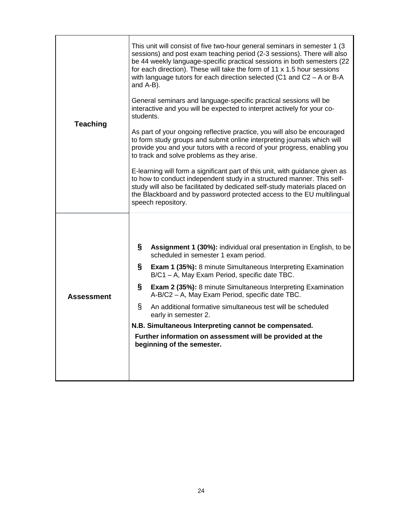| <b>Teaching</b> | This unit will consist of five two-hour general seminars in semester 1 (3<br>sessions) and post exam teaching period (2-3 sessions). There will also<br>be 44 weekly language-specific practical sessions in both semesters (22<br>for each direction). These will take the form of 11 x 1.5 hour sessions<br>with language tutors for each direction selected (C1 and C2 - A or B-A<br>and A-B). |                                                                                                                        |  |  |
|-----------------|---------------------------------------------------------------------------------------------------------------------------------------------------------------------------------------------------------------------------------------------------------------------------------------------------------------------------------------------------------------------------------------------------|------------------------------------------------------------------------------------------------------------------------|--|--|
|                 | General seminars and language-specific practical sessions will be<br>interactive and you will be expected to interpret actively for your co-<br>students.                                                                                                                                                                                                                                         |                                                                                                                        |  |  |
|                 | As part of your ongoing reflective practice, you will also be encouraged<br>to form study groups and submit online interpreting journals which will<br>provide you and your tutors with a record of your progress, enabling you<br>to track and solve problems as they arise.                                                                                                                     |                                                                                                                        |  |  |
|                 | E-learning will form a significant part of this unit, with guidance given as<br>to how to conduct independent study in a structured manner. This self-<br>study will also be facilitated by dedicated self-study materials placed on<br>the Blackboard and by password protected access to the EU multilingual<br>speech repository.                                                              |                                                                                                                        |  |  |
|                 |                                                                                                                                                                                                                                                                                                                                                                                                   |                                                                                                                        |  |  |
| Assessment      | §                                                                                                                                                                                                                                                                                                                                                                                                 | Assignment 1 (30%): individual oral presentation in English, to be<br>scheduled in semester 1 exam period.             |  |  |
|                 | §                                                                                                                                                                                                                                                                                                                                                                                                 | <b>Exam 1 (35%):</b> 8 minute Simultaneous Interpreting Examination<br>B/C1 - A, May Exam Period, specific date TBC.   |  |  |
|                 | §                                                                                                                                                                                                                                                                                                                                                                                                 | <b>Exam 2 (35%):</b> 8 minute Simultaneous Interpreting Examination<br>A-B/C2 - A, May Exam Period, specific date TBC. |  |  |
|                 | ş                                                                                                                                                                                                                                                                                                                                                                                                 | An additional formative simultaneous test will be scheduled<br>early in semester 2.                                    |  |  |
|                 | N.B. Simultaneous Interpreting cannot be compensated.                                                                                                                                                                                                                                                                                                                                             |                                                                                                                        |  |  |
|                 | Further information on assessment will be provided at the<br>beginning of the semester.                                                                                                                                                                                                                                                                                                           |                                                                                                                        |  |  |
|                 |                                                                                                                                                                                                                                                                                                                                                                                                   |                                                                                                                        |  |  |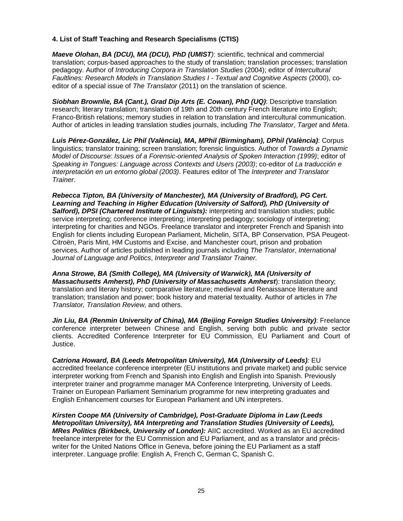### **4. List of Staff Teaching and Research Specialisms (CTIS)**

**Maeve Olohan, BA (DCU), MA (DCU), PhD (UMIST**): scientific, technical and commercial translation; corpus-based approaches to the study of translation; translation processes; translation pedagogy. Author of Introducing Corpora in Translation Studies (2004); editor of Intercultural Faultlines: Research Models in Translation Studies I - Textual and Cognitive Aspects (2000), coeditor of a special issue of The Translator (2011) on the translation of science.

**Siobhan Brownlie, BA (Cant.), Grad Dip Arts (E. Cowan), PhD (UQ)**: Descriptive translation research; literary translation; translation of 19th and 20th century French literature into English; Franco-British relations; memory studies in relation to translation and intercultural communication. Author of articles in leading translation studies journals, including The Translator, Target and Meta.

**Luis Pérez-González, Lic Phil (València), MA, MPhil (Birmingham), DPhil (València)**: Corpus linguistics; translator training; screen translation; forensic linguistics. Author of Towards a Dynamic Model of Discourse: Issues of a Forensic-oriented Analysis of Spoken Interaction (1999); editor of Speaking in Tongues: Language across Contexts and Users (2003); co-editor of La traducción e interpretación en un entorno global (2003). Features editor of The Interpreter and Translator Trainer.

**Rebecca Tipton, BA (University of Manchester), MA (University of Bradford), PG Cert. Learning and Teaching in Higher Education (University of Salford), PhD (University of Salford), DPSI (Chartered Institute of Linguists):** interpreting and translation studies; public service interpreting; conference interpreting; interpreting pedagogy; sociology of interpreting; interpreting for charities and NGOs. Freelance translator and interpreter French and Spanish into English for clients including European Parliament, Michelin, SITA, BP Conservation, PSA Peugeot-Citroën, Paris Mint, HM Customs and Excise, and Manchester court, prison and probation services. Author of articles published in leading journals including The Translator, International Journal of Language and Politics, Interpreter and Translator Trainer.

**Anna Strowe, BA (Smith College), MA (University of Warwick), MA (University of Massachusetts Amherst), PhD (University of Massachusetts Amherst**): translation theory; translation and literary history; comparative literature; medieval and Renaissance literature and translation; translation and power; book history and material textuality. Author of articles in The Translator, Translation Review, and others.

**Jin Liu, BA (Renmin University of China), MA (Beijing Foreign Studies University)**: Freelance conference interpreter between Chinese and English, serving both public and private sector clients. Accredited Conference Interpreter for EU Commission, EU Parliament and Court of Justice.

**Catriona Howard, BA (Leeds Metropolitan University), MA (University of Leeds)**: EU accredited freelance conference interpreter (EU institutions and private market) and public service interpreter working from French and Spanish into English and English into Spanish. Previously interpreter trainer and programme manager MA Conference Interpreting, University of Leeds. Trainer on European Parliament Seminarium programme for new interpreting graduates and English Enhancement courses for European Parliament and UN interpreters.

**Kirsten Coope MA (University of Cambridge), Post-Graduate Diploma in Law (Leeds Metropolitan University), MA Interpreting and Translation Studies (University of Leeds), MRes Politics (Birkbeck, University of London):** AIIC accredited. Worked as an EU accredited freelance interpreter for the EU Commission and EU Parliament, and as a translator and préciswriter for the United Nations Office in Geneva, before joining the EU Parliament as a staff interpreter. Language profile: English A, French C, German C, Spanish C.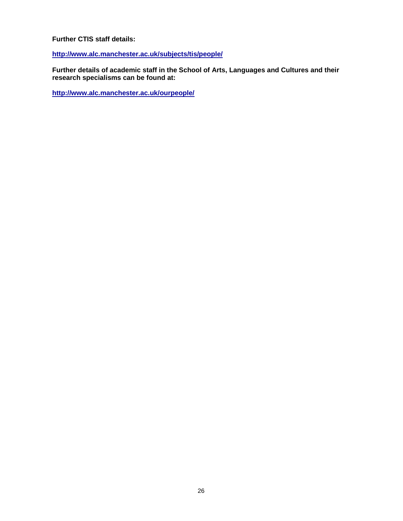#### **Further CTIS staff details:**

**http://www.alc.manchester.ac.uk/subjects/tis/people/**

**Further details of academic staff in the School of Arts, Languages and Cultures and their research specialisms can be found at:** 

**http://www.alc.manchester.ac.uk/ourpeople/**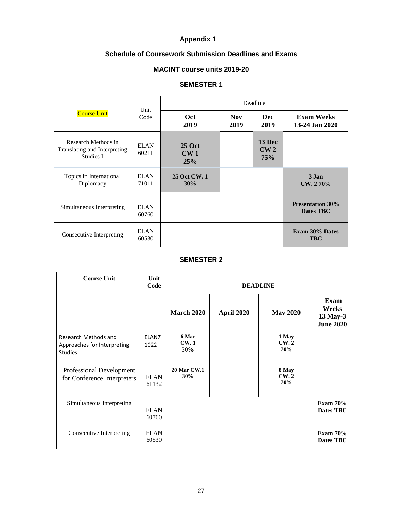# **Appendix 1**

# **Schedule of Coursework Submission Deadlines and Exams**

# **MACINT course units 2019-20**

### **SEMESTER 1**

| <b>Course Unit</b>                                               | Unit<br>Code         | Deadline                                |                    |                      |                                      |  |
|------------------------------------------------------------------|----------------------|-----------------------------------------|--------------------|----------------------|--------------------------------------|--|
|                                                                  |                      | <b>Oct</b><br>2019                      | <b>Nov</b><br>2019 | Dec<br>2019          | <b>Exam Weeks</b><br>13-24 Jan 2020  |  |
| Research Methods in<br>Translating and Interpreting<br>Studies I | <b>ELAN</b><br>60211 | <b>25 Oct</b><br>CW <sub>1</sub><br>25% |                    | 13 Dec<br>CW2<br>75% |                                      |  |
| Topics in International<br>Diplomacy                             | <b>ELAN</b><br>71011 | 25 Oct CW. 1<br>30%                     |                    |                      | 3 Jan<br>CW. 270%                    |  |
| Simultaneous Interpreting                                        | ELAN<br>60760        |                                         |                    |                      | <b>Presentation 30%</b><br>Dates TBC |  |
| Consecutive Interpreting                                         | <b>ELAN</b><br>60530 |                                         |                    |                      | <b>Exam 30% Dates</b><br><b>TBC</b>  |  |

#### **SEMESTER 2**

| <b>Course Unit</b>                                                    | Unit<br>Code         | <b>DEADLINE</b>             |            |                             |                                               |  |
|-----------------------------------------------------------------------|----------------------|-----------------------------|------------|-----------------------------|-----------------------------------------------|--|
|                                                                       |                      | <b>March 2020</b>           | April 2020 | <b>May 2020</b>             | Exam<br>Weeks<br>13 May-3<br><b>June 2020</b> |  |
| Research Methods and<br>Approaches for Interpreting<br><b>Studies</b> | ELAN7<br>1022        | 6 Mar<br><b>CW.1</b><br>30% |            | 1 May<br><b>CW.2</b><br>70% |                                               |  |
| Professional Development<br>for Conference Interpreters               | <b>ELAN</b><br>61132 | <b>20 Mar CW.1</b><br>30%   |            | 8 May<br>CW.2<br>70%        |                                               |  |
| Simultaneous Interpreting                                             | <b>ELAN</b><br>60760 |                             |            |                             | <b>Exam 70%</b><br>Dates TBC                  |  |
| Consecutive Interpreting                                              | <b>ELAN</b><br>60530 |                             |            |                             | <b>Exam 70%</b><br>Dates TBC                  |  |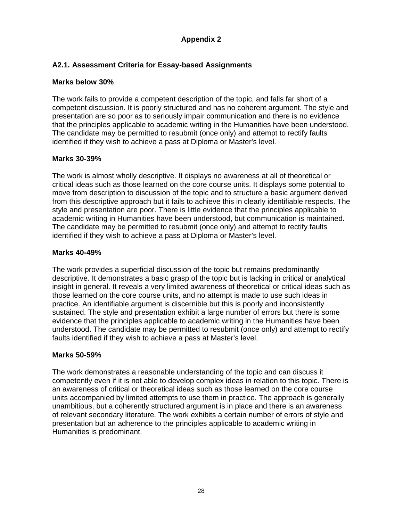# **Appendix 2**

# **A2.1. Assessment Criteria for Essay-based Assignments**

# **Marks below 30%**

The work fails to provide a competent description of the topic, and falls far short of a competent discussion. It is poorly structured and has no coherent argument. The style and presentation are so poor as to seriously impair communication and there is no evidence that the principles applicable to academic writing in the Humanities have been understood. The candidate may be permitted to resubmit (once only) and attempt to rectify faults identified if they wish to achieve a pass at Diploma or Master's level.

# **Marks 30-39%**

The work is almost wholly descriptive. It displays no awareness at all of theoretical or critical ideas such as those learned on the core course units. It displays some potential to move from description to discussion of the topic and to structure a basic argument derived from this descriptive approach but it fails to achieve this in clearly identifiable respects. The style and presentation are poor. There is little evidence that the principles applicable to academic writing in Humanities have been understood, but communication is maintained. The candidate may be permitted to resubmit (once only) and attempt to rectify faults identified if they wish to achieve a pass at Diploma or Master's level.

# **Marks 40-49%**

The work provides a superficial discussion of the topic but remains predominantly descriptive. It demonstrates a basic grasp of the topic but is lacking in critical or analytical insight in general. It reveals a very limited awareness of theoretical or critical ideas such as those learned on the core course units, and no attempt is made to use such ideas in practice. An identifiable argument is discernible but this is poorly and inconsistently sustained. The style and presentation exhibit a large number of errors but there is some evidence that the principles applicable to academic writing in the Humanities have been understood. The candidate may be permitted to resubmit (once only) and attempt to rectify faults identified if they wish to achieve a pass at Master's level.

# **Marks 50-59%**

The work demonstrates a reasonable understanding of the topic and can discuss it competently even if it is not able to develop complex ideas in relation to this topic. There is an awareness of critical or theoretical ideas such as those learned on the core course units accompanied by limited attempts to use them in practice. The approach is generally unambitious, but a coherently structured argument is in place and there is an awareness of relevant secondary literature. The work exhibits a certain number of errors of style and presentation but an adherence to the principles applicable to academic writing in Humanities is predominant.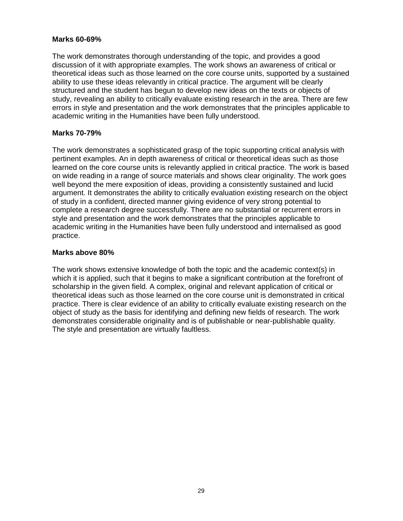# **Marks 60-69%**

The work demonstrates thorough understanding of the topic, and provides a good discussion of it with appropriate examples. The work shows an awareness of critical or theoretical ideas such as those learned on the core course units, supported by a sustained ability to use these ideas relevantly in critical practice. The argument will be clearly structured and the student has begun to develop new ideas on the texts or objects of study, revealing an ability to critically evaluate existing research in the area. There are few errors in style and presentation and the work demonstrates that the principles applicable to academic writing in the Humanities have been fully understood.

# **Marks 70-79%**

The work demonstrates a sophisticated grasp of the topic supporting critical analysis with pertinent examples. An in depth awareness of critical or theoretical ideas such as those learned on the core course units is relevantly applied in critical practice. The work is based on wide reading in a range of source materials and shows clear originality. The work goes well beyond the mere exposition of ideas, providing a consistently sustained and lucid argument. It demonstrates the ability to critically evaluation existing research on the object of study in a confident, directed manner giving evidence of very strong potential to complete a research degree successfully. There are no substantial or recurrent errors in style and presentation and the work demonstrates that the principles applicable to academic writing in the Humanities have been fully understood and internalised as good practice.

# **Marks above 80%**

The work shows extensive knowledge of both the topic and the academic context(s) in which it is applied, such that it begins to make a significant contribution at the forefront of scholarship in the given field. A complex, original and relevant application of critical or theoretical ideas such as those learned on the core course unit is demonstrated in critical practice. There is clear evidence of an ability to critically evaluate existing research on the object of study as the basis for identifying and defining new fields of research. The work demonstrates considerable originality and is of publishable or near-publishable quality. The style and presentation are virtually faultless.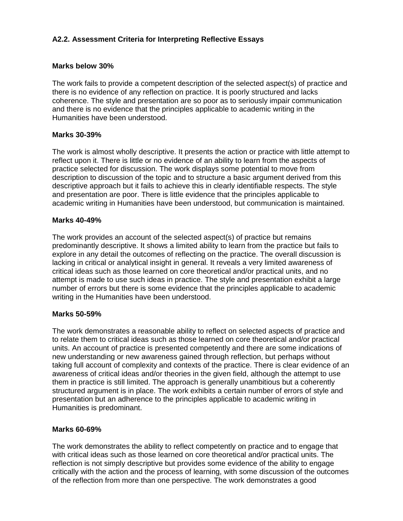# **A2.2. Assessment Criteria for Interpreting Reflective Essays**

# **Marks below 30%**

The work fails to provide a competent description of the selected aspect(s) of practice and there is no evidence of any reflection on practice. It is poorly structured and lacks coherence. The style and presentation are so poor as to seriously impair communication and there is no evidence that the principles applicable to academic writing in the Humanities have been understood.

# **Marks 30-39%**

The work is almost wholly descriptive. It presents the action or practice with little attempt to reflect upon it. There is little or no evidence of an ability to learn from the aspects of practice selected for discussion. The work displays some potential to move from description to discussion of the topic and to structure a basic argument derived from this descriptive approach but it fails to achieve this in clearly identifiable respects. The style and presentation are poor. There is little evidence that the principles applicable to academic writing in Humanities have been understood, but communication is maintained.

# **Marks 40-49%**

The work provides an account of the selected aspect(s) of practice but remains predominantly descriptive. It shows a limited ability to learn from the practice but fails to explore in any detail the outcomes of reflecting on the practice. The overall discussion is lacking in critical or analytical insight in general. It reveals a very limited awareness of critical ideas such as those learned on core theoretical and/or practical units, and no attempt is made to use such ideas in practice. The style and presentation exhibit a large number of errors but there is some evidence that the principles applicable to academic writing in the Humanities have been understood.

# **Marks 50-59%**

The work demonstrates a reasonable ability to reflect on selected aspects of practice and to relate them to critical ideas such as those learned on core theoretical and/or practical units. An account of practice is presented competently and there are some indications of new understanding or new awareness gained through reflection, but perhaps without taking full account of complexity and contexts of the practice. There is clear evidence of an awareness of critical ideas and/or theories in the given field, although the attempt to use them in practice is still limited. The approach is generally unambitious but a coherently structured argument is in place. The work exhibits a certain number of errors of style and presentation but an adherence to the principles applicable to academic writing in Humanities is predominant.

# **Marks 60-69%**

The work demonstrates the ability to reflect competently on practice and to engage that with critical ideas such as those learned on core theoretical and/or practical units. The reflection is not simply descriptive but provides some evidence of the ability to engage critically with the action and the process of learning, with some discussion of the outcomes of the reflection from more than one perspective. The work demonstrates a good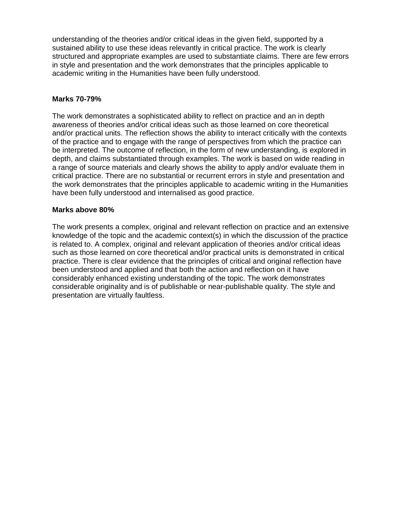understanding of the theories and/or critical ideas in the given field, supported by a sustained ability to use these ideas relevantly in critical practice. The work is clearly structured and appropriate examples are used to substantiate claims. There are few errors in style and presentation and the work demonstrates that the principles applicable to academic writing in the Humanities have been fully understood.

### **Marks 70-79%**

The work demonstrates a sophisticated ability to reflect on practice and an in depth awareness of theories and/or critical ideas such as those learned on core theoretical and/or practical units. The reflection shows the ability to interact critically with the contexts of the practice and to engage with the range of perspectives from which the practice can be interpreted. The outcome of reflection, in the form of new understanding, is explored in depth, and claims substantiated through examples. The work is based on wide reading in a range of source materials and clearly shows the ability to apply and/or evaluate them in critical practice. There are no substantial or recurrent errors in style and presentation and the work demonstrates that the principles applicable to academic writing in the Humanities have been fully understood and internalised as good practice.

### **Marks above 80%**

The work presents a complex, original and relevant reflection on practice and an extensive knowledge of the topic and the academic context(s) in which the discussion of the practice is related to. A complex, original and relevant application of theories and/or critical ideas such as those learned on core theoretical and/or practical units is demonstrated in critical practice. There is clear evidence that the principles of critical and original reflection have been understood and applied and that both the action and reflection on it have considerably enhanced existing understanding of the topic. The work demonstrates considerable originality and is of publishable or near-publishable quality. The style and presentation are virtually faultless.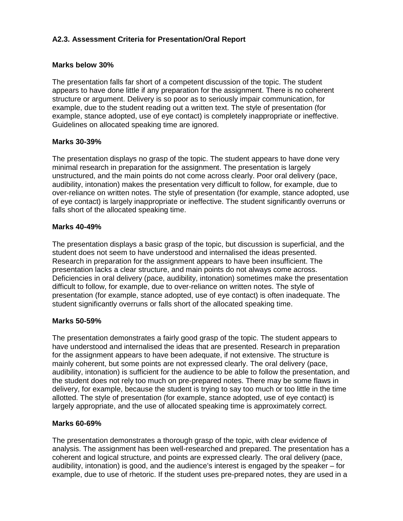# **A2.3. Assessment Criteria for Presentation/Oral Report**

# **Marks below 30%**

The presentation falls far short of a competent discussion of the topic. The student appears to have done little if any preparation for the assignment. There is no coherent structure or argument. Delivery is so poor as to seriously impair communication, for example, due to the student reading out a written text. The style of presentation (for example, stance adopted, use of eye contact) is completely inappropriate or ineffective. Guidelines on allocated speaking time are ignored.

# **Marks 30-39%**

The presentation displays no grasp of the topic. The student appears to have done very minimal research in preparation for the assignment. The presentation is largely unstructured, and the main points do not come across clearly. Poor oral delivery (pace, audibility, intonation) makes the presentation very difficult to follow, for example, due to over-reliance on written notes. The style of presentation (for example, stance adopted, use of eye contact) is largely inappropriate or ineffective. The student significantly overruns or falls short of the allocated speaking time.

# **Marks 40-49%**

The presentation displays a basic grasp of the topic, but discussion is superficial, and the student does not seem to have understood and internalised the ideas presented. Research in preparation for the assignment appears to have been insufficient. The presentation lacks a clear structure, and main points do not always come across. Deficiencies in oral delivery (pace, audibility, intonation) sometimes make the presentation difficult to follow, for example, due to over-reliance on written notes. The style of presentation (for example, stance adopted, use of eye contact) is often inadequate. The student significantly overruns or falls short of the allocated speaking time.

# **Marks 50-59%**

The presentation demonstrates a fairly good grasp of the topic. The student appears to have understood and internalised the ideas that are presented. Research in preparation for the assignment appears to have been adequate, if not extensive. The structure is mainly coherent, but some points are not expressed clearly. The oral delivery (pace, audibility, intonation) is sufficient for the audience to be able to follow the presentation, and the student does not rely too much on pre-prepared notes. There may be some flaws in delivery, for example, because the student is trying to say too much or too little in the time allotted. The style of presentation (for example, stance adopted, use of eye contact) is largely appropriate, and the use of allocated speaking time is approximately correct.

# **Marks 60-69%**

The presentation demonstrates a thorough grasp of the topic, with clear evidence of analysis. The assignment has been well-researched and prepared. The presentation has a coherent and logical structure, and points are expressed clearly. The oral delivery (pace, audibility, intonation) is good, and the audience's interest is engaged by the speaker – for example, due to use of rhetoric. If the student uses pre-prepared notes, they are used in a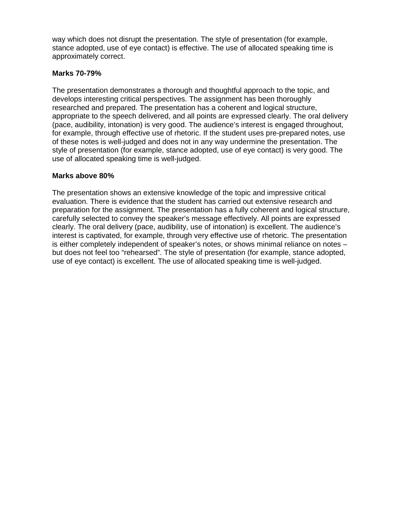way which does not disrupt the presentation. The style of presentation (for example, stance adopted, use of eye contact) is effective. The use of allocated speaking time is approximately correct.

# **Marks 70-79%**

The presentation demonstrates a thorough and thoughtful approach to the topic, and develops interesting critical perspectives. The assignment has been thoroughly researched and prepared. The presentation has a coherent and logical structure, appropriate to the speech delivered, and all points are expressed clearly. The oral delivery (pace, audibility, intonation) is very good. The audience's interest is engaged throughout, for example, through effective use of rhetoric. If the student uses pre-prepared notes, use of these notes is well-judged and does not in any way undermine the presentation. The style of presentation (for example, stance adopted, use of eye contact) is very good. The use of allocated speaking time is well-judged.

# **Marks above 80%**

The presentation shows an extensive knowledge of the topic and impressive critical evaluation. There is evidence that the student has carried out extensive research and preparation for the assignment. The presentation has a fully coherent and logical structure, carefully selected to convey the speaker's message effectively. All points are expressed clearly. The oral delivery (pace, audibility, use of intonation) is excellent. The audience's interest is captivated, for example, through very effective use of rhetoric. The presentation is either completely independent of speaker's notes, or shows minimal reliance on notes – but does not feel too "rehearsed". The style of presentation (for example, stance adopted, use of eye contact) is excellent. The use of allocated speaking time is well-judged.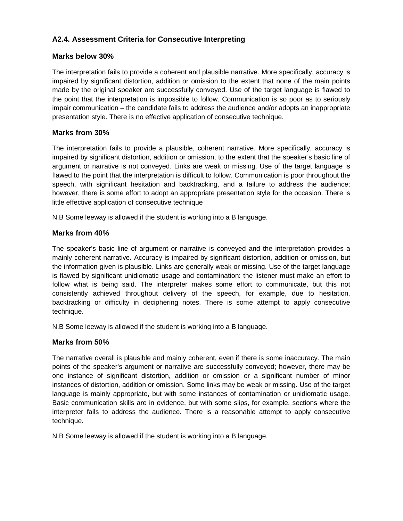# **A2.4. Assessment Criteria for Consecutive Interpreting**

# **Marks below 30%**

The interpretation fails to provide a coherent and plausible narrative. More specifically, accuracy is impaired by significant distortion, addition or omission to the extent that none of the main points made by the original speaker are successfully conveyed. Use of the target language is flawed to the point that the interpretation is impossible to follow. Communication is so poor as to seriously impair communication – the candidate fails to address the audience and/or adopts an inappropriate presentation style. There is no effective application of consecutive technique.

# **Marks from 30%**

The interpretation fails to provide a plausible, coherent narrative. More specifically, accuracy is impaired by significant distortion, addition or omission, to the extent that the speaker's basic line of argument or narrative is not conveyed. Links are weak or missing. Use of the target language is flawed to the point that the interpretation is difficult to follow. Communication is poor throughout the speech, with significant hesitation and backtracking, and a failure to address the audience; however, there is some effort to adopt an appropriate presentation style for the occasion. There is little effective application of consecutive technique

N.B Some leeway is allowed if the student is working into a B language.

# **Marks from 40%**

The speaker's basic line of argument or narrative is conveyed and the interpretation provides a mainly coherent narrative. Accuracy is impaired by significant distortion, addition or omission, but the information given is plausible. Links are generally weak or missing. Use of the target language is flawed by significant unidiomatic usage and contamination: the listener must make an effort to follow what is being said. The interpreter makes some effort to communicate, but this not consistently achieved throughout delivery of the speech, for example, due to hesitation, backtracking or difficulty in deciphering notes. There is some attempt to apply consecutive technique.

N.B Some leeway is allowed if the student is working into a B language.

# **Marks from 50%**

The narrative overall is plausible and mainly coherent, even if there is some inaccuracy. The main points of the speaker's argument or narrative are successfully conveyed; however, there may be one instance of significant distortion, addition or omission or a significant number of minor instances of distortion, addition or omission. Some links may be weak or missing. Use of the target language is mainly appropriate, but with some instances of contamination or unidiomatic usage. Basic communication skills are in evidence, but with some slips, for example, sections where the interpreter fails to address the audience. There is a reasonable attempt to apply consecutive technique.

N.B Some leeway is allowed if the student is working into a B language.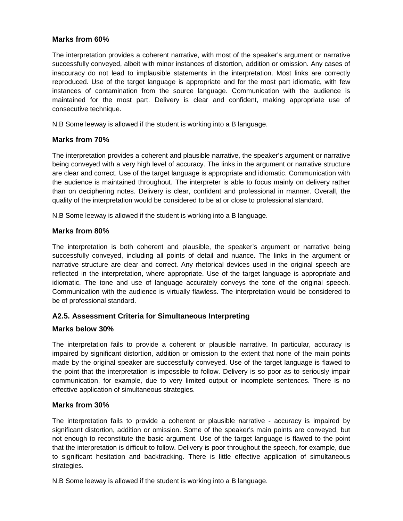# **Marks from 60%**

The interpretation provides a coherent narrative, with most of the speaker's argument or narrative successfully conveyed, albeit with minor instances of distortion, addition or omission. Any cases of inaccuracy do not lead to implausible statements in the interpretation. Most links are correctly reproduced. Use of the target language is appropriate and for the most part idiomatic, with few instances of contamination from the source language. Communication with the audience is maintained for the most part. Delivery is clear and confident, making appropriate use of consecutive technique.

N.B Some leeway is allowed if the student is working into a B language.

### **Marks from 70%**

The interpretation provides a coherent and plausible narrative, the speaker's argument or narrative being conveyed with a very high level of accuracy. The links in the argument or narrative structure are clear and correct. Use of the target language is appropriate and idiomatic. Communication with the audience is maintained throughout. The interpreter is able to focus mainly on delivery rather than on deciphering notes. Delivery is clear, confident and professional in manner. Overall, the quality of the interpretation would be considered to be at or close to professional standard.

N.B Some leeway is allowed if the student is working into a B language.

### **Marks from 80%**

The interpretation is both coherent and plausible, the speaker's argument or narrative being successfully conveyed, including all points of detail and nuance. The links in the argument or narrative structure are clear and correct. Any rhetorical devices used in the original speech are reflected in the interpretation, where appropriate. Use of the target language is appropriate and idiomatic. The tone and use of language accurately conveys the tone of the original speech. Communication with the audience is virtually flawless. The interpretation would be considered to be of professional standard.

# **A2.5. Assessment Criteria for Simultaneous Interpreting**

### **Marks below 30%**

The interpretation fails to provide a coherent or plausible narrative. In particular, accuracy is impaired by significant distortion, addition or omission to the extent that none of the main points made by the original speaker are successfully conveyed. Use of the target language is flawed to the point that the interpretation is impossible to follow. Delivery is so poor as to seriously impair communication, for example, due to very limited output or incomplete sentences. There is no effective application of simultaneous strategies.

### **Marks from 30%**

The interpretation fails to provide a coherent or plausible narrative - accuracy is impaired by significant distortion, addition or omission. Some of the speaker's main points are conveyed, but not enough to reconstitute the basic argument. Use of the target language is flawed to the point that the interpretation is difficult to follow. Delivery is poor throughout the speech, for example, due to significant hesitation and backtracking. There is little effective application of simultaneous strategies.

N.B Some leeway is allowed if the student is working into a B language.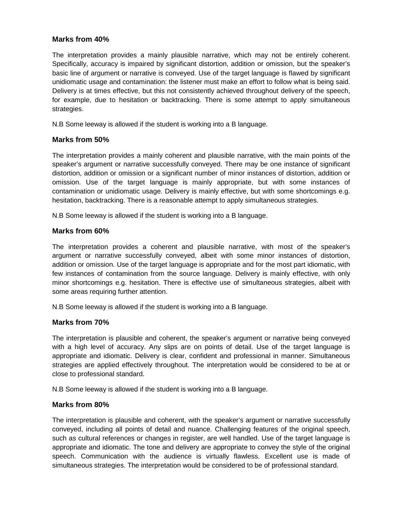### **Marks from 40%**

The interpretation provides a mainly plausible narrative, which may not be entirely coherent. Specifically, accuracy is impaired by significant distortion, addition or omission, but the speaker's basic line of argument or narrative is conveyed. Use of the target language is flawed by significant unidiomatic usage and contamination: the listener must make an effort to follow what is being said. Delivery is at times effective, but this not consistently achieved throughout delivery of the speech, for example, due to hesitation or backtracking. There is some attempt to apply simultaneous strategies.

N.B Some leeway is allowed if the student is working into a B language.

# **Marks from 50%**

The interpretation provides a mainly coherent and plausible narrative, with the main points of the speaker's argument or narrative successfully conveyed. There may be one instance of significant distortion, addition or omission or a significant number of minor instances of distortion, addition or omission. Use of the target language is mainly appropriate, but with some instances of contamination or unidiomatic usage. Delivery is mainly effective, but with some shortcomings e.g. hesitation, backtracking. There is a reasonable attempt to apply simultaneous strategies.

N.B Some leeway is allowed if the student is working into a B language.

### **Marks from 60%**

The interpretation provides a coherent and plausible narrative, with most of the speaker's argument or narrative successfully conveyed, albeit with some minor instances of distortion, addition or omission. Use of the target language is appropriate and for the most part idiomatic, with few instances of contamination from the source language. Delivery is mainly effective, with only minor shortcomings e.g. hesitation. There is effective use of simultaneous strategies, albeit with some areas requiring further attention.

N.B Some leeway is allowed if the student is working into a B language.

### **Marks from 70%**

The interpretation is plausible and coherent, the speaker's argument or narrative being conveyed with a high level of accuracy. Any slips are on points of detail. Use of the target language is appropriate and idiomatic. Delivery is clear, confident and professional in manner. Simultaneous strategies are applied effectively throughout. The interpretation would be considered to be at or close to professional standard.

N.B Some leeway is allowed if the student is working into a B language.

### **Marks from 80%**

The interpretation is plausible and coherent, with the speaker's argument or narrative successfully conveyed, including all points of detail and nuance. Challenging features of the original speech, such as cultural references or changes in register, are well handled. Use of the target language is appropriate and idiomatic. The tone and delivery are appropriate to convey the style of the original speech. Communication with the audience is virtually flawless. Excellent use is made of simultaneous strategies. The interpretation would be considered to be of professional standard.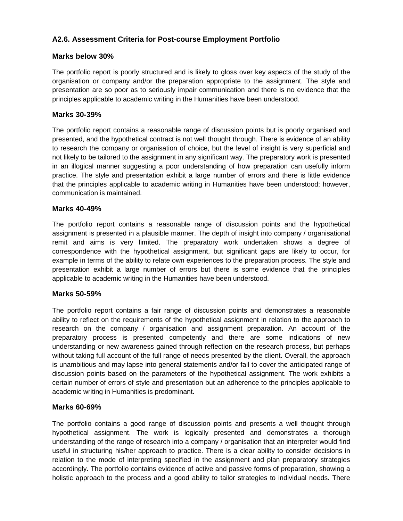# **A2.6. Assessment Criteria for Post-course Employment Portfolio**

# **Marks below 30%**

The portfolio report is poorly structured and is likely to gloss over key aspects of the study of the organisation or company and/or the preparation appropriate to the assignment. The style and presentation are so poor as to seriously impair communication and there is no evidence that the principles applicable to academic writing in the Humanities have been understood.

# **Marks 30-39%**

The portfolio report contains a reasonable range of discussion points but is poorly organised and presented, and the hypothetical contract is not well thought through. There is evidence of an ability to research the company or organisation of choice, but the level of insight is very superficial and not likely to be tailored to the assignment in any significant way. The preparatory work is presented in an illogical manner suggesting a poor understanding of how preparation can usefully inform practice. The style and presentation exhibit a large number of errors and there is little evidence that the principles applicable to academic writing in Humanities have been understood; however, communication is maintained.

# **Marks 40-49%**

The portfolio report contains a reasonable range of discussion points and the hypothetical assignment is presented in a plausible manner. The depth of insight into company / organisational remit and aims is very limited. The preparatory work undertaken shows a degree of correspondence with the hypothetical assignment, but significant gaps are likely to occur, for example in terms of the ability to relate own experiences to the preparation process. The style and presentation exhibit a large number of errors but there is some evidence that the principles applicable to academic writing in the Humanities have been understood.

# **Marks 50-59%**

The portfolio report contains a fair range of discussion points and demonstrates a reasonable ability to reflect on the requirements of the hypothetical assignment in relation to the approach to research on the company / organisation and assignment preparation. An account of the preparatory process is presented competently and there are some indications of new understanding or new awareness gained through reflection on the research process, but perhaps without taking full account of the full range of needs presented by the client. Overall, the approach is unambitious and may lapse into general statements and/or fail to cover the anticipated range of discussion points based on the parameters of the hypothetical assignment. The work exhibits a certain number of errors of style and presentation but an adherence to the principles applicable to academic writing in Humanities is predominant.

# **Marks 60-69%**

The portfolio contains a good range of discussion points and presents a well thought through hypothetical assignment. The work is logically presented and demonstrates a thorough understanding of the range of research into a company / organisation that an interpreter would find useful in structuring his/her approach to practice. There is a clear ability to consider decisions in relation to the mode of interpreting specified in the assignment and plan preparatory strategies accordingly. The portfolio contains evidence of active and passive forms of preparation, showing a holistic approach to the process and a good ability to tailor strategies to individual needs. There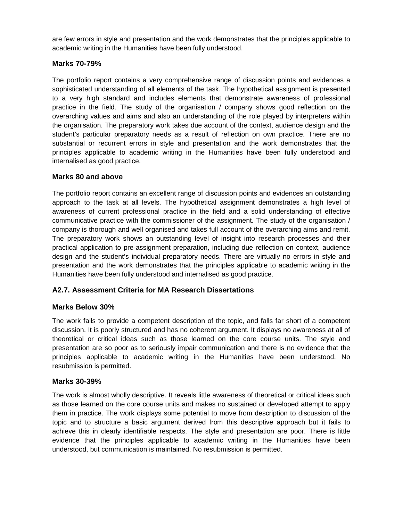are few errors in style and presentation and the work demonstrates that the principles applicable to academic writing in the Humanities have been fully understood.

# **Marks 70-79%**

The portfolio report contains a very comprehensive range of discussion points and evidences a sophisticated understanding of all elements of the task. The hypothetical assignment is presented to a very high standard and includes elements that demonstrate awareness of professional practice in the field. The study of the organisation / company shows good reflection on the overarching values and aims and also an understanding of the role played by interpreters within the organisation. The preparatory work takes due account of the context, audience design and the student's particular preparatory needs as a result of reflection on own practice. There are no substantial or recurrent errors in style and presentation and the work demonstrates that the principles applicable to academic writing in the Humanities have been fully understood and internalised as good practice.

# **Marks 80 and above**

The portfolio report contains an excellent range of discussion points and evidences an outstanding approach to the task at all levels. The hypothetical assignment demonstrates a high level of awareness of current professional practice in the field and a solid understanding of effective communicative practice with the commissioner of the assignment. The study of the organisation / company is thorough and well organised and takes full account of the overarching aims and remit. The preparatory work shows an outstanding level of insight into research processes and their practical application to pre-assignment preparation, including due reflection on context, audience design and the student's individual preparatory needs. There are virtually no errors in style and presentation and the work demonstrates that the principles applicable to academic writing in the Humanities have been fully understood and internalised as good practice.

# **A2.7. Assessment Criteria for MA Research Dissertations**

# **Marks Below 30%**

The work fails to provide a competent description of the topic, and falls far short of a competent discussion. It is poorly structured and has no coherent argument. It displays no awareness at all of theoretical or critical ideas such as those learned on the core course units. The style and presentation are so poor as to seriously impair communication and there is no evidence that the principles applicable to academic writing in the Humanities have been understood. No resubmission is permitted.

# **Marks 30-39%**

The work is almost wholly descriptive. It reveals little awareness of theoretical or critical ideas such as those learned on the core course units and makes no sustained or developed attempt to apply them in practice. The work displays some potential to move from description to discussion of the topic and to structure a basic argument derived from this descriptive approach but it fails to achieve this in clearly identifiable respects. The style and presentation are poor. There is little evidence that the principles applicable to academic writing in the Humanities have been understood, but communication is maintained. No resubmission is permitted.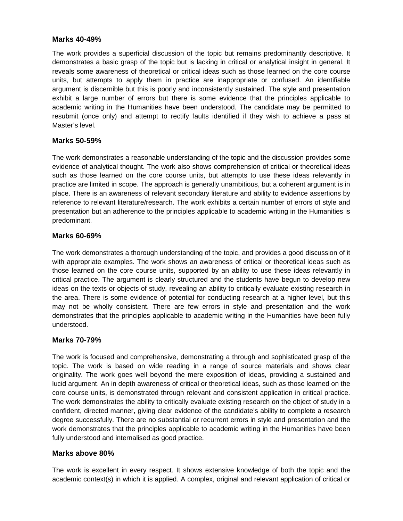### **Marks 40-49%**

The work provides a superficial discussion of the topic but remains predominantly descriptive. It demonstrates a basic grasp of the topic but is lacking in critical or analytical insight in general. It reveals some awareness of theoretical or critical ideas such as those learned on the core course units, but attempts to apply them in practice are inappropriate or confused. An identifiable argument is discernible but this is poorly and inconsistently sustained. The style and presentation exhibit a large number of errors but there is some evidence that the principles applicable to academic writing in the Humanities have been understood. The candidate may be permitted to resubmit (once only) and attempt to rectify faults identified if they wish to achieve a pass at Master's level.

### **Marks 50-59%**

The work demonstrates a reasonable understanding of the topic and the discussion provides some evidence of analytical thought. The work also shows comprehension of critical or theoretical ideas such as those learned on the core course units, but attempts to use these ideas relevantly in practice are limited in scope. The approach is generally unambitious, but a coherent argument is in place. There is an awareness of relevant secondary literature and ability to evidence assertions by reference to relevant literature/research. The work exhibits a certain number of errors of style and presentation but an adherence to the principles applicable to academic writing in the Humanities is predominant.

# **Marks 60-69%**

The work demonstrates a thorough understanding of the topic, and provides a good discussion of it with appropriate examples. The work shows an awareness of critical or theoretical ideas such as those learned on the core course units, supported by an ability to use these ideas relevantly in critical practice. The argument is clearly structured and the students have begun to develop new ideas on the texts or objects of study, revealing an ability to critically evaluate existing research in the area. There is some evidence of potential for conducting research at a higher level, but this may not be wholly consistent. There are few errors in style and presentation and the work demonstrates that the principles applicable to academic writing in the Humanities have been fully understood.

# **Marks 70-79%**

The work is focused and comprehensive, demonstrating a through and sophisticated grasp of the topic. The work is based on wide reading in a range of source materials and shows clear originality. The work goes well beyond the mere exposition of ideas, providing a sustained and lucid argument. An in depth awareness of critical or theoretical ideas, such as those learned on the core course units, is demonstrated through relevant and consistent application in critical practice. The work demonstrates the ability to critically evaluate existing research on the object of study in a confident, directed manner, giving clear evidence of the candidate's ability to complete a research degree successfully. There are no substantial or recurrent errors in style and presentation and the work demonstrates that the principles applicable to academic writing in the Humanities have been fully understood and internalised as good practice.

# **Marks above 80%**

The work is excellent in every respect. It shows extensive knowledge of both the topic and the academic context(s) in which it is applied. A complex, original and relevant application of critical or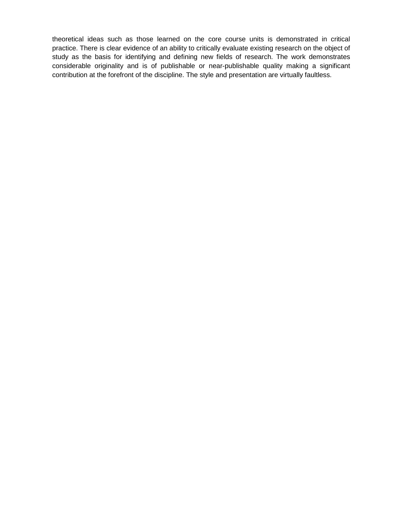theoretical ideas such as those learned on the core course units is demonstrated in critical practice. There is clear evidence of an ability to critically evaluate existing research on the object of study as the basis for identifying and defining new fields of research. The work demonstrates considerable originality and is of publishable or near-publishable quality making a significant contribution at the forefront of the discipline. The style and presentation are virtually faultless.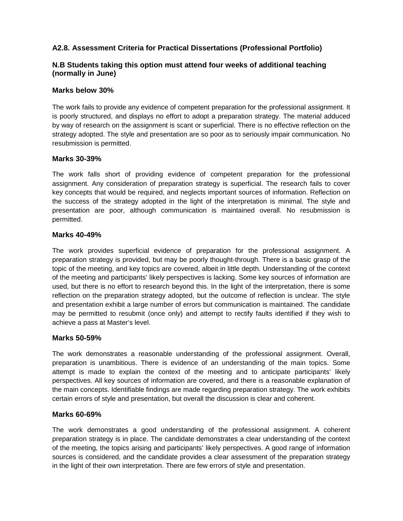# **A2.8. Assessment Criteria for Practical Dissertations (Professional Portfolio)**

# **N.B Students taking this option must attend four weeks of additional teaching (normally in June)**

### **Marks below 30%**

The work fails to provide any evidence of competent preparation for the professional assignment. It is poorly structured, and displays no effort to adopt a preparation strategy. The material adduced by way of research on the assignment is scant or superficial. There is no effective reflection on the strategy adopted. The style and presentation are so poor as to seriously impair communication. No resubmission is permitted.

### **Marks 30-39%**

The work falls short of providing evidence of competent preparation for the professional assignment. Any consideration of preparation strategy is superficial. The research fails to cover key concepts that would be required, and neglects important sources of information. Reflection on the success of the strategy adopted in the light of the interpretation is minimal. The style and presentation are poor, although communication is maintained overall. No resubmission is permitted.

### **Marks 40-49%**

The work provides superficial evidence of preparation for the professional assignment. A preparation strategy is provided, but may be poorly thought-through. There is a basic grasp of the topic of the meeting, and key topics are covered, albeit in little depth. Understanding of the context of the meeting and participants' likely perspectives is lacking. Some key sources of information are used, but there is no effort to research beyond this. In the light of the interpretation, there is some reflection on the preparation strategy adopted, but the outcome of reflection is unclear. The style and presentation exhibit a large number of errors but communication is maintained. The candidate may be permitted to resubmit (once only) and attempt to rectify faults identified if they wish to achieve a pass at Master's level.

### **Marks 50-59%**

The work demonstrates a reasonable understanding of the professional assignment. Overall, preparation is unambitious. There is evidence of an understanding of the main topics. Some attempt is made to explain the context of the meeting and to anticipate participants' likely perspectives. All key sources of information are covered, and there is a reasonable explanation of the main concepts. Identifiable findings are made regarding preparation strategy. The work exhibits certain errors of style and presentation, but overall the discussion is clear and coherent.

### **Marks 60-69%**

The work demonstrates a good understanding of the professional assignment. A coherent preparation strategy is in place. The candidate demonstrates a clear understanding of the context of the meeting, the topics arising and participants' likely perspectives. A good range of information sources is considered, and the candidate provides a clear assessment of the preparation strategy in the light of their own interpretation. There are few errors of style and presentation.